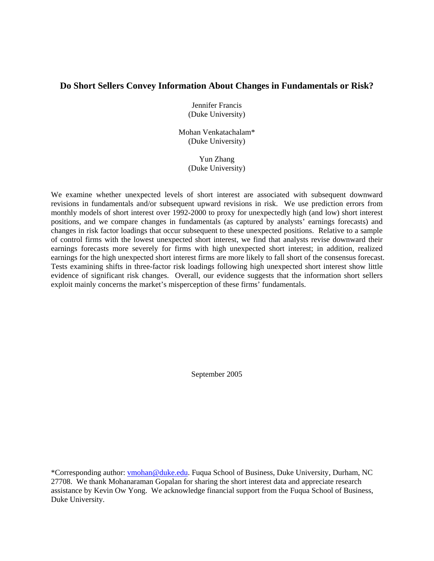# **Do Short Sellers Convey Information About Changes in Fundamentals or Risk?**

Jennifer Francis (Duke University)

Mohan Venkatachalam\* (Duke University)

> Yun Zhang (Duke University)

We examine whether unexpected levels of short interest are associated with subsequent downward revisions in fundamentals and/or subsequent upward revisions in risk. We use prediction errors from monthly models of short interest over 1992-2000 to proxy for unexpectedly high (and low) short interest positions, and we compare changes in fundamentals (as captured by analysts' earnings forecasts) and changes in risk factor loadings that occur subsequent to these unexpected positions. Relative to a sample of control firms with the lowest unexpected short interest, we find that analysts revise downward their earnings forecasts more severely for firms with high unexpected short interest; in addition, realized earnings for the high unexpected short interest firms are more likely to fall short of the consensus forecast. Tests examining shifts in three-factor risk loadings following high unexpected short interest show little evidence of significant risk changes. Overall, our evidence suggests that the information short sellers exploit mainly concerns the market's misperception of these firms' fundamentals.

September 2005

\*Corresponding author: vmohan@duke.edu. Fuqua School of Business, Duke University, Durham, NC 27708. We thank Mohanaraman Gopalan for sharing the short interest data and appreciate research assistance by Kevin Ow Yong. We acknowledge financial support from the Fuqua School of Business, Duke University.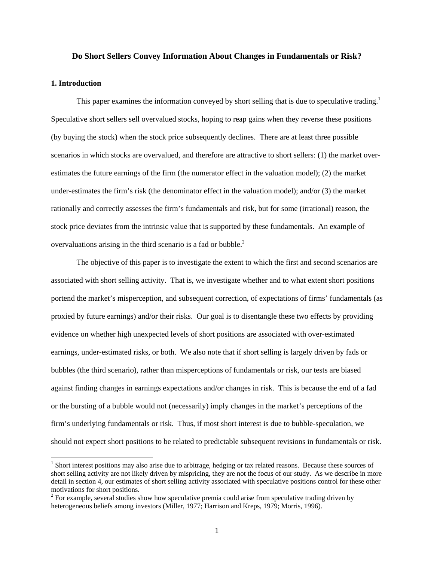#### **Do Short Sellers Convey Information About Changes in Fundamentals or Risk?**

### **1. Introduction**

 $\overline{a}$ 

This paper examines the information conveyed by short selling that is due to speculative trading.<sup>1</sup> Speculative short sellers sell overvalued stocks, hoping to reap gains when they reverse these positions (by buying the stock) when the stock price subsequently declines. There are at least three possible scenarios in which stocks are overvalued, and therefore are attractive to short sellers: (1) the market overestimates the future earnings of the firm (the numerator effect in the valuation model); (2) the market under-estimates the firm's risk (the denominator effect in the valuation model); and/or (3) the market rationally and correctly assesses the firm's fundamentals and risk, but for some (irrational) reason, the stock price deviates from the intrinsic value that is supported by these fundamentals. An example of overvaluations arising in the third scenario is a fad or bubble. $<sup>2</sup>$ </sup>

The objective of this paper is to investigate the extent to which the first and second scenarios are associated with short selling activity. That is, we investigate whether and to what extent short positions portend the market's misperception, and subsequent correction, of expectations of firms' fundamentals (as proxied by future earnings) and/or their risks. Our goal is to disentangle these two effects by providing evidence on whether high unexpected levels of short positions are associated with over-estimated earnings, under-estimated risks, or both. We also note that if short selling is largely driven by fads or bubbles (the third scenario), rather than misperceptions of fundamentals or risk, our tests are biased against finding changes in earnings expectations and/or changes in risk. This is because the end of a fad or the bursting of a bubble would not (necessarily) imply changes in the market's perceptions of the firm's underlying fundamentals or risk. Thus, if most short interest is due to bubble-speculation, we should not expect short positions to be related to predictable subsequent revisions in fundamentals or risk.

<sup>&</sup>lt;sup>1</sup> Short interest positions may also arise due to arbitrage, hedging or tax related reasons. Because these sources of short selling activity are not likely driven by mispricing, they are not the focus of our study. As we describe in more detail in section 4, our estimates of short selling activity associated with speculative positions control for these other motivations for short positions.

 $2^{2}$  For example, several studies show how speculative premia could arise from speculative trading driven by heterogeneous beliefs among investors (Miller, 1977; Harrison and Kreps, 1979; Morris, 1996).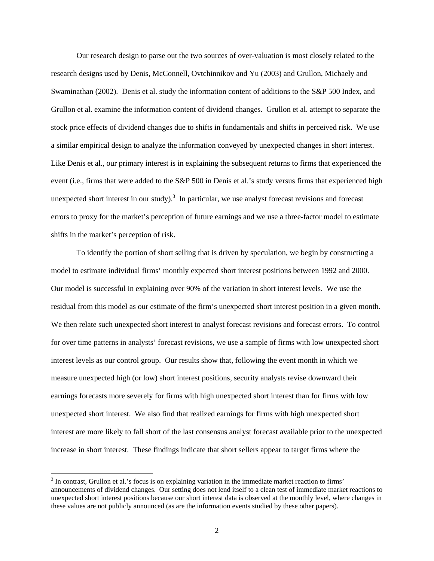Our research design to parse out the two sources of over-valuation is most closely related to the research designs used by Denis, McConnell, Ovtchinnikov and Yu (2003) and Grullon, Michaely and Swaminathan (2002). Denis et al. study the information content of additions to the S&P 500 Index, and Grullon et al. examine the information content of dividend changes. Grullon et al. attempt to separate the stock price effects of dividend changes due to shifts in fundamentals and shifts in perceived risk. We use a similar empirical design to analyze the information conveyed by unexpected changes in short interest. Like Denis et al., our primary interest is in explaining the subsequent returns to firms that experienced the event (i.e., firms that were added to the S&P 500 in Denis et al.'s study versus firms that experienced high unexpected short interest in our study).<sup>3</sup> In particular, we use analyst forecast revisions and forecast errors to proxy for the market's perception of future earnings and we use a three-factor model to estimate shifts in the market's perception of risk.

To identify the portion of short selling that is driven by speculation, we begin by constructing a model to estimate individual firms' monthly expected short interest positions between 1992 and 2000. Our model is successful in explaining over 90% of the variation in short interest levels. We use the residual from this model as our estimate of the firm's unexpected short interest position in a given month. We then relate such unexpected short interest to analyst forecast revisions and forecast errors. To control for over time patterns in analysts' forecast revisions, we use a sample of firms with low unexpected short interest levels as our control group. Our results show that, following the event month in which we measure unexpected high (or low) short interest positions, security analysts revise downward their earnings forecasts more severely for firms with high unexpected short interest than for firms with low unexpected short interest. We also find that realized earnings for firms with high unexpected short interest are more likely to fall short of the last consensus analyst forecast available prior to the unexpected increase in short interest. These findings indicate that short sellers appear to target firms where the

 $3$  In contrast, Grullon et al.'s focus is on explaining variation in the immediate market reaction to firms' announcements of dividend changes. Our setting does not lend itself to a clean test of immediate market reactions to unexpected short interest positions because our short interest data is observed at the monthly level, where changes in these values are not publicly announced (as are the information events studied by these other papers).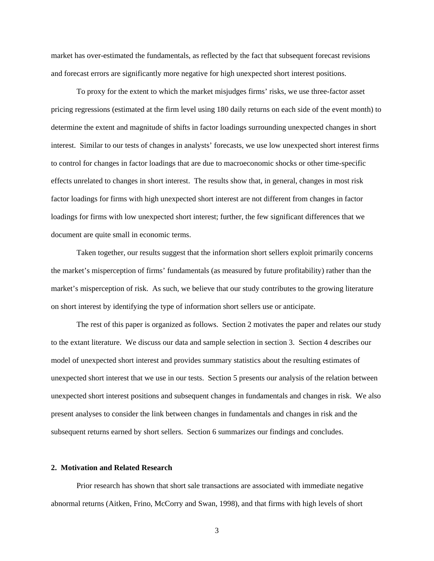market has over-estimated the fundamentals, as reflected by the fact that subsequent forecast revisions and forecast errors are significantly more negative for high unexpected short interest positions.

To proxy for the extent to which the market misjudges firms' risks, we use three-factor asset pricing regressions (estimated at the firm level using 180 daily returns on each side of the event month) to determine the extent and magnitude of shifts in factor loadings surrounding unexpected changes in short interest. Similar to our tests of changes in analysts' forecasts, we use low unexpected short interest firms to control for changes in factor loadings that are due to macroeconomic shocks or other time-specific effects unrelated to changes in short interest. The results show that, in general, changes in most risk factor loadings for firms with high unexpected short interest are not different from changes in factor loadings for firms with low unexpected short interest; further, the few significant differences that we document are quite small in economic terms.

Taken together, our results suggest that the information short sellers exploit primarily concerns the market's misperception of firms' fundamentals (as measured by future profitability) rather than the market's misperception of risk. As such, we believe that our study contributes to the growing literature on short interest by identifying the type of information short sellers use or anticipate.

The rest of this paper is organized as follows. Section 2 motivates the paper and relates our study to the extant literature. We discuss our data and sample selection in section 3. Section 4 describes our model of unexpected short interest and provides summary statistics about the resulting estimates of unexpected short interest that we use in our tests. Section 5 presents our analysis of the relation between unexpected short interest positions and subsequent changes in fundamentals and changes in risk. We also present analyses to consider the link between changes in fundamentals and changes in risk and the subsequent returns earned by short sellers. Section 6 summarizes our findings and concludes.

## **2. Motivation and Related Research**

Prior research has shown that short sale transactions are associated with immediate negative abnormal returns (Aitken, Frino, McCorry and Swan, 1998), and that firms with high levels of short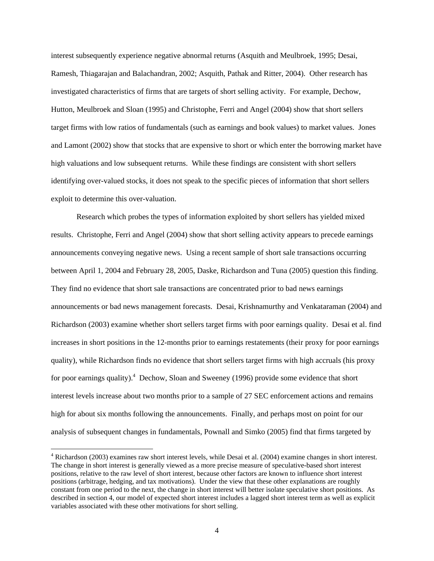interest subsequently experience negative abnormal returns (Asquith and Meulbroek, 1995; Desai, Ramesh, Thiagarajan and Balachandran, 2002; Asquith, Pathak and Ritter, 2004). Other research has investigated characteristics of firms that are targets of short selling activity. For example, Dechow, Hutton, Meulbroek and Sloan (1995) and Christophe, Ferri and Angel (2004) show that short sellers target firms with low ratios of fundamentals (such as earnings and book values) to market values. Jones and Lamont (2002) show that stocks that are expensive to short or which enter the borrowing market have high valuations and low subsequent returns. While these findings are consistent with short sellers identifying over-valued stocks, it does not speak to the specific pieces of information that short sellers exploit to determine this over-valuation.

Research which probes the types of information exploited by short sellers has yielded mixed results. Christophe, Ferri and Angel (2004) show that short selling activity appears to precede earnings announcements conveying negative news. Using a recent sample of short sale transactions occurring between April 1, 2004 and February 28, 2005, Daske, Richardson and Tuna (2005) question this finding. They find no evidence that short sale transactions are concentrated prior to bad news earnings announcements or bad news management forecasts. Desai, Krishnamurthy and Venkataraman (2004) and Richardson (2003) examine whether short sellers target firms with poor earnings quality. Desai et al. find increases in short positions in the 12-months prior to earnings restatements (their proxy for poor earnings quality), while Richardson finds no evidence that short sellers target firms with high accruals (his proxy for poor earnings quality).<sup>4</sup> Dechow, Sloan and Sweeney (1996) provide some evidence that short interest levels increase about two months prior to a sample of 27 SEC enforcement actions and remains high for about six months following the announcements. Finally, and perhaps most on point for our analysis of subsequent changes in fundamentals, Pownall and Simko (2005) find that firms targeted by

<sup>&</sup>lt;sup>4</sup> Richardson (2003) examines raw short interest levels, while Desai et al. (2004) examine changes in short interest. The change in short interest is generally viewed as a more precise measure of speculative-based short interest positions, relative to the raw level of short interest, because other factors are known to influence short interest positions (arbitrage, hedging, and tax motivations). Under the view that these other explanations are roughly constant from one period to the next, the change in short interest will better isolate speculative short positions. As described in section 4, our model of expected short interest includes a lagged short interest term as well as explicit variables associated with these other motivations for short selling.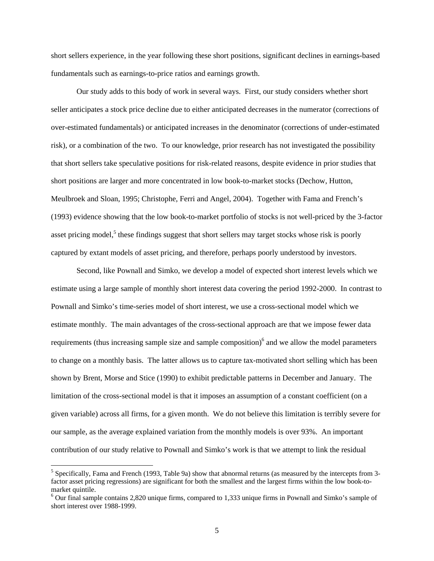short sellers experience, in the year following these short positions, significant declines in earnings-based fundamentals such as earnings-to-price ratios and earnings growth.

Our study adds to this body of work in several ways. First, our study considers whether short seller anticipates a stock price decline due to either anticipated decreases in the numerator (corrections of over-estimated fundamentals) or anticipated increases in the denominator (corrections of under-estimated risk), or a combination of the two. To our knowledge, prior research has not investigated the possibility that short sellers take speculative positions for risk-related reasons, despite evidence in prior studies that short positions are larger and more concentrated in low book-to-market stocks (Dechow, Hutton, Meulbroek and Sloan, 1995; Christophe, Ferri and Angel, 2004). Together with Fama and French's (1993) evidence showing that the low book-to-market portfolio of stocks is not well-priced by the 3-factor asset pricing model,<sup>5</sup> these findings suggest that short sellers may target stocks whose risk is poorly captured by extant models of asset pricing, and therefore, perhaps poorly understood by investors.

Second, like Pownall and Simko, we develop a model of expected short interest levels which we estimate using a large sample of monthly short interest data covering the period 1992-2000. In contrast to Pownall and Simko's time-series model of short interest, we use a cross-sectional model which we estimate monthly. The main advantages of the cross-sectional approach are that we impose fewer data requirements (thus increasing sample size and sample composition)<sup>6</sup> and we allow the model parameters to change on a monthly basis. The latter allows us to capture tax-motivated short selling which has been shown by Brent, Morse and Stice (1990) to exhibit predictable patterns in December and January. The limitation of the cross-sectional model is that it imposes an assumption of a constant coefficient (on a given variable) across all firms, for a given month. We do not believe this limitation is terribly severe for our sample, as the average explained variation from the monthly models is over 93%. An important contribution of our study relative to Pownall and Simko's work is that we attempt to link the residual

<sup>&</sup>lt;sup>5</sup> Specifically, Fama and French (1993, Table 9a) show that abnormal returns (as measured by the intercepts from 3factor asset pricing regressions) are significant for both the smallest and the largest firms within the low book-tomarket quintile.

<sup>&</sup>lt;sup>6</sup> Our final sample contains 2,820 unique firms, compared to 1,333 unique firms in Pownall and Simko's sample of short interest over 1988-1999.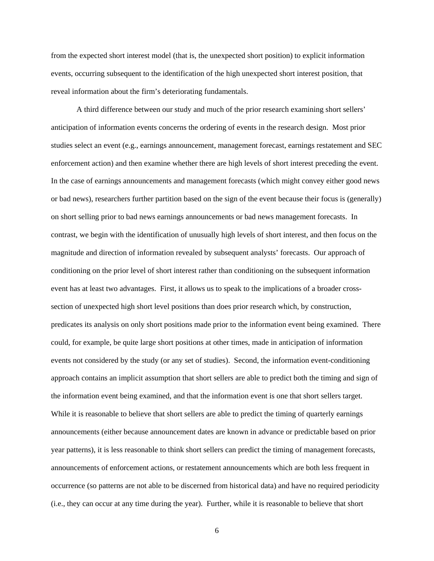from the expected short interest model (that is, the unexpected short position) to explicit information events, occurring subsequent to the identification of the high unexpected short interest position, that reveal information about the firm's deteriorating fundamentals.

A third difference between our study and much of the prior research examining short sellers' anticipation of information events concerns the ordering of events in the research design. Most prior studies select an event (e.g., earnings announcement, management forecast, earnings restatement and SEC enforcement action) and then examine whether there are high levels of short interest preceding the event. In the case of earnings announcements and management forecasts (which might convey either good news or bad news), researchers further partition based on the sign of the event because their focus is (generally) on short selling prior to bad news earnings announcements or bad news management forecasts. In contrast, we begin with the identification of unusually high levels of short interest, and then focus on the magnitude and direction of information revealed by subsequent analysts' forecasts. Our approach of conditioning on the prior level of short interest rather than conditioning on the subsequent information event has at least two advantages. First, it allows us to speak to the implications of a broader crosssection of unexpected high short level positions than does prior research which, by construction, predicates its analysis on only short positions made prior to the information event being examined. There could, for example, be quite large short positions at other times, made in anticipation of information events not considered by the study (or any set of studies). Second, the information event-conditioning approach contains an implicit assumption that short sellers are able to predict both the timing and sign of the information event being examined, and that the information event is one that short sellers target. While it is reasonable to believe that short sellers are able to predict the timing of quarterly earnings announcements (either because announcement dates are known in advance or predictable based on prior year patterns), it is less reasonable to think short sellers can predict the timing of management forecasts, announcements of enforcement actions, or restatement announcements which are both less frequent in occurrence (so patterns are not able to be discerned from historical data) and have no required periodicity (i.e., they can occur at any time during the year). Further, while it is reasonable to believe that short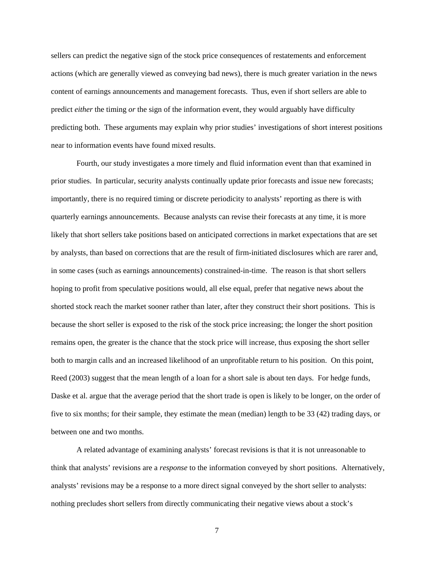sellers can predict the negative sign of the stock price consequences of restatements and enforcement actions (which are generally viewed as conveying bad news), there is much greater variation in the news content of earnings announcements and management forecasts. Thus, even if short sellers are able to predict *either* the timing *or* the sign of the information event, they would arguably have difficulty predicting both. These arguments may explain why prior studies' investigations of short interest positions near to information events have found mixed results.

Fourth, our study investigates a more timely and fluid information event than that examined in prior studies. In particular, security analysts continually update prior forecasts and issue new forecasts; importantly, there is no required timing or discrete periodicity to analysts' reporting as there is with quarterly earnings announcements. Because analysts can revise their forecasts at any time, it is more likely that short sellers take positions based on anticipated corrections in market expectations that are set by analysts, than based on corrections that are the result of firm-initiated disclosures which are rarer and, in some cases (such as earnings announcements) constrained-in-time. The reason is that short sellers hoping to profit from speculative positions would, all else equal, prefer that negative news about the shorted stock reach the market sooner rather than later, after they construct their short positions. This is because the short seller is exposed to the risk of the stock price increasing; the longer the short position remains open, the greater is the chance that the stock price will increase, thus exposing the short seller both to margin calls and an increased likelihood of an unprofitable return to his position. On this point, Reed (2003) suggest that the mean length of a loan for a short sale is about ten days. For hedge funds, Daske et al. argue that the average period that the short trade is open is likely to be longer, on the order of five to six months; for their sample, they estimate the mean (median) length to be 33 (42) trading days, or between one and two months.

A related advantage of examining analysts' forecast revisions is that it is not unreasonable to think that analysts' revisions are a *response* to the information conveyed by short positions. Alternatively, analysts' revisions may be a response to a more direct signal conveyed by the short seller to analysts: nothing precludes short sellers from directly communicating their negative views about a stock's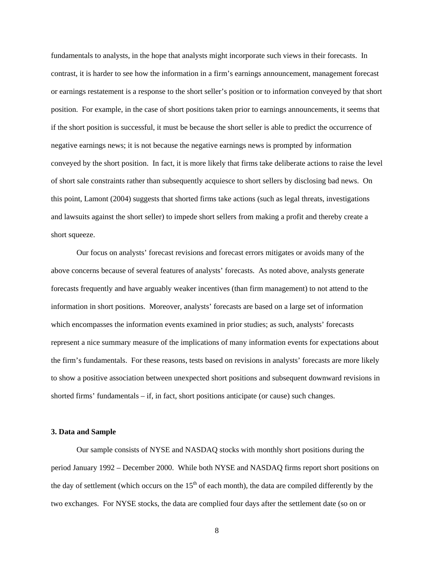fundamentals to analysts, in the hope that analysts might incorporate such views in their forecasts. In contrast, it is harder to see how the information in a firm's earnings announcement, management forecast or earnings restatement is a response to the short seller's position or to information conveyed by that short position. For example, in the case of short positions taken prior to earnings announcements, it seems that if the short position is successful, it must be because the short seller is able to predict the occurrence of negative earnings news; it is not because the negative earnings news is prompted by information conveyed by the short position. In fact, it is more likely that firms take deliberate actions to raise the level of short sale constraints rather than subsequently acquiesce to short sellers by disclosing bad news. On this point, Lamont (2004) suggests that shorted firms take actions (such as legal threats, investigations and lawsuits against the short seller) to impede short sellers from making a profit and thereby create a short squeeze.

 Our focus on analysts' forecast revisions and forecast errors mitigates or avoids many of the above concerns because of several features of analysts' forecasts. As noted above, analysts generate forecasts frequently and have arguably weaker incentives (than firm management) to not attend to the information in short positions. Moreover, analysts' forecasts are based on a large set of information which encompasses the information events examined in prior studies; as such, analysts' forecasts represent a nice summary measure of the implications of many information events for expectations about the firm's fundamentals. For these reasons, tests based on revisions in analysts' forecasts are more likely to show a positive association between unexpected short positions and subsequent downward revisions in shorted firms' fundamentals – if, in fact, short positions anticipate (or cause) such changes.

#### **3. Data and Sample**

Our sample consists of NYSE and NASDAQ stocks with monthly short positions during the period January 1992 – December 2000. While both NYSE and NASDAQ firms report short positions on the day of settlement (which occurs on the  $15<sup>th</sup>$  of each month), the data are compiled differently by the two exchanges. For NYSE stocks, the data are complied four days after the settlement date (so on or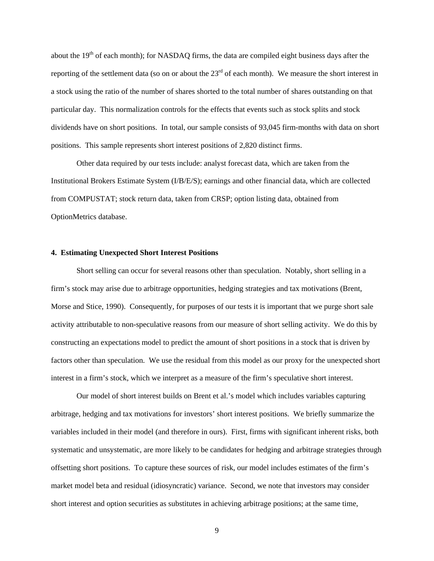about the  $19<sup>th</sup>$  of each month); for NASDAQ firms, the data are compiled eight business days after the reporting of the settlement data (so on or about the  $23<sup>rd</sup>$  of each month). We measure the short interest in a stock using the ratio of the number of shares shorted to the total number of shares outstanding on that particular day. This normalization controls for the effects that events such as stock splits and stock dividends have on short positions. In total, our sample consists of 93,045 firm-months with data on short positions. This sample represents short interest positions of 2,820 distinct firms.

Other data required by our tests include: analyst forecast data, which are taken from the Institutional Brokers Estimate System (I/B/E/S); earnings and other financial data, which are collected from COMPUSTAT; stock return data, taken from CRSP; option listing data, obtained from OptionMetrics database.

## **4. Estimating Unexpected Short Interest Positions**

Short selling can occur for several reasons other than speculation. Notably, short selling in a firm's stock may arise due to arbitrage opportunities, hedging strategies and tax motivations (Brent, Morse and Stice, 1990). Consequently, for purposes of our tests it is important that we purge short sale activity attributable to non-speculative reasons from our measure of short selling activity. We do this by constructing an expectations model to predict the amount of short positions in a stock that is driven by factors other than speculation. We use the residual from this model as our proxy for the unexpected short interest in a firm's stock, which we interpret as a measure of the firm's speculative short interest.

Our model of short interest builds on Brent et al.'s model which includes variables capturing arbitrage, hedging and tax motivations for investors' short interest positions. We briefly summarize the variables included in their model (and therefore in ours). First, firms with significant inherent risks, both systematic and unsystematic, are more likely to be candidates for hedging and arbitrage strategies through offsetting short positions. To capture these sources of risk, our model includes estimates of the firm's market model beta and residual (idiosyncratic) variance. Second, we note that investors may consider short interest and option securities as substitutes in achieving arbitrage positions; at the same time,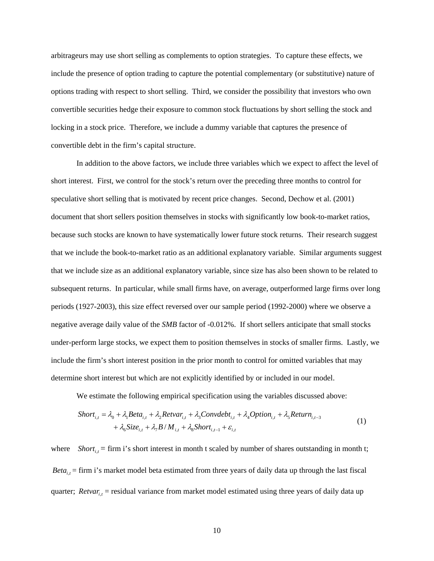arbitrageurs may use short selling as complements to option strategies. To capture these effects, we include the presence of option trading to capture the potential complementary (or substitutive) nature of options trading with respect to short selling. Third, we consider the possibility that investors who own convertible securities hedge their exposure to common stock fluctuations by short selling the stock and locking in a stock price. Therefore, we include a dummy variable that captures the presence of convertible debt in the firm's capital structure.

In addition to the above factors, we include three variables which we expect to affect the level of short interest. First, we control for the stock's return over the preceding three months to control for speculative short selling that is motivated by recent price changes. Second, Dechow et al. (2001) document that short sellers position themselves in stocks with significantly low book-to-market ratios, because such stocks are known to have systematically lower future stock returns. Their research suggest that we include the book-to-market ratio as an additional explanatory variable. Similar arguments suggest that we include size as an additional explanatory variable, since size has also been shown to be related to subsequent returns. In particular, while small firms have, on average, outperformed large firms over long periods (1927-2003), this size effect reversed over our sample period (1992-2000) where we observe a negative average daily value of the *SMB* factor of -0.012%. If short sellers anticipate that small stocks under-perform large stocks, we expect them to position themselves in stocks of smaller firms. Lastly, we include the firm's short interest position in the prior month to control for omitted variables that may determine short interest but which are not explicitly identified by or included in our model.

We estimate the following empirical specification using the variables discussed above:

$$
Short_{i,t} = \lambda_0 + \lambda_1 Beta_{i,t} + \lambda_2 Return_{i,t} + \lambda_3 Convdebt_{i,t} + \lambda_4 Option_{i,t} + \lambda_5 Return_{i,t-3}
$$
  
+  $\lambda_6 Size_{i,t} + \lambda_7 B/M_{i,t} + \lambda_8 Short_{i,t-1} + \varepsilon_{i,t}$  (1)

where *Short*<sub>i,t</sub> = firm i's short interest in month t scaled by number of shares outstanding in month t; *Beta*<sub> $i,t$ </sub> = firm i's market model beta estimated from three years of daily data up through the last fiscal quarter; *Retvar<sub>i,t</sub>* = residual variance from market model estimated using three years of daily data up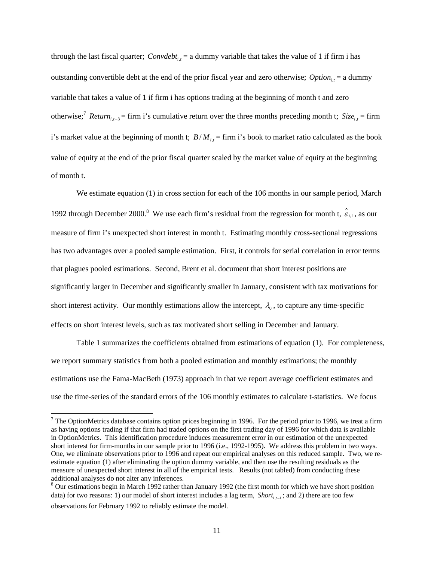through the last fiscal quarter; *Convdebt<sub>it</sub>* = a dummy variable that takes the value of 1 if firm i has outstanding convertible debt at the end of the prior fiscal year and zero otherwise;  $Option_{i,t} =$  a dummy variable that takes a value of 1 if firm i has options trading at the beginning of month t and zero otherwise;<sup>7</sup> *Return*<sub>i,-3</sub> = firm i's cumulative return over the three months preceding month t; *Size*<sub>i,t</sub> = firm i's market value at the beginning of month t;  $B/M_{i,t}$  = firm i's book to market ratio calculated as the book value of equity at the end of the prior fiscal quarter scaled by the market value of equity at the beginning of month t.

We estimate equation (1) in cross section for each of the 106 months in our sample period, March 1992 through December 2000.<sup>8</sup> We use each firm's residual from the regression for month t,  $\hat{\varepsilon}_{i,t}$ , as our measure of firm i's unexpected short interest in month t. Estimating monthly cross-sectional regressions has two advantages over a pooled sample estimation. First, it controls for serial correlation in error terms that plagues pooled estimations. Second, Brent et al. document that short interest positions are significantly larger in December and significantly smaller in January, consistent with tax motivations for short interest activity. Our monthly estimations allow the intercept,  $\lambda_0$ , to capture any time-specific effects on short interest levels, such as tax motivated short selling in December and January.

Table 1 summarizes the coefficients obtained from estimations of equation (1). For completeness, we report summary statistics from both a pooled estimation and monthly estimations; the monthly estimations use the Fama-MacBeth (1973) approach in that we report average coefficient estimates and use the time-series of the standard errors of the 106 monthly estimates to calculate t-statistics. We focus

<sup>&</sup>lt;sup>7</sup> The OptionMetrics database contains option prices beginning in 1996. For the period prior to 1996, we treat a firm as having options trading if that firm had traded options on the first trading day of 1996 for which data is available in OptionMetrics. This identification procedure induces measurement error in our estimation of the unexpected short interest for firm-months in our sample prior to 1996 (i.e., 1992-1995). We address this problem in two ways. One, we eliminate observations prior to 1996 and repeat our empirical analyses on this reduced sample. Two, we reestimate equation (1) after eliminating the option dummy variable, and then use the resulting residuals as the measure of unexpected short interest in all of the empirical tests. Results (not tabled) from conducting these additional analyses do not alter any inferences.

 $8$  Our estimations begin in March 1992 rather than January 1992 (the first month for which we have short position data) for two reasons: 1) our model of short interest includes a lag term, *Short*<sub>ii-1</sub>; and 2) there are too few observations for February 1992 to reliably estimate the model.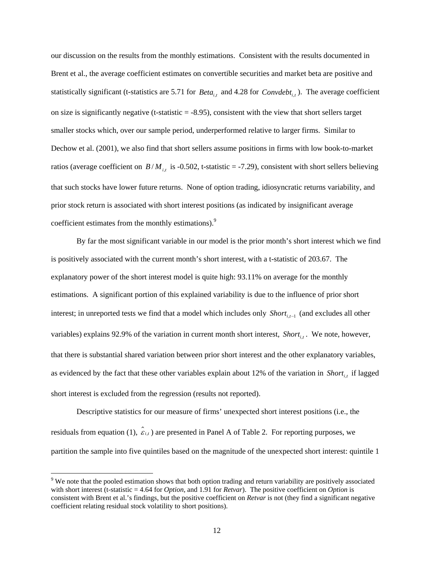our discussion on the results from the monthly estimations. Consistent with the results documented in Brent et al., the average coefficient estimates on convertible securities and market beta are positive and statistically significant (t-statistics are 5.71 for *Beta*<sub>i,t</sub> and 4.28 for *Convdebt*<sub>i,t</sub>). The average coefficient on size is significantly negative (t-statistic  $=$  -8.95), consistent with the view that short sellers target smaller stocks which, over our sample period, underperformed relative to larger firms. Similar to Dechow et al. (2001), we also find that short sellers assume positions in firms with low book-to-market ratios (average coefficient on  $B/M_{i,t}$  is -0.502, t-statistic = -7.29), consistent with short sellers believing that such stocks have lower future returns. None of option trading, idiosyncratic returns variability, and prior stock return is associated with short interest positions (as indicated by insignificant average coefficient estimates from the monthly estimations).<sup>9</sup>

By far the most significant variable in our model is the prior month's short interest which we find is positively associated with the current month's short interest, with a t-statistic of 203.67. The explanatory power of the short interest model is quite high: 93.11% on average for the monthly estimations. A significant portion of this explained variability is due to the influence of prior short interest; in unreported tests we find that a model which includes only *Short<sub>it-1</sub>* (and excludes all other variables) explains 92.9% of the variation in current month short interest, *Short*<sub>i,t</sub>. We note, however, that there is substantial shared variation between prior short interest and the other explanatory variables, as evidenced by the fact that these other variables explain about 12% of the variation in *Short<sub>i,t</sub>* if lagged short interest is excluded from the regression (results not reported).

Descriptive statistics for our measure of firms' unexpected short interest positions (i.e., the residuals from equation (1),  $\hat{\epsilon}_{i,t}$ ) are presented in Panel A of Table 2. For reporting purposes, we partition the sample into five quintiles based on the magnitude of the unexpected short interest: quintile 1

 $9$  We note that the pooled estimation shows that both option trading and return variability are positively associated with short interest (t-statistic = 4.64 for *Option*, and 1.91 for *Retvar*). The positive coefficient on *Option* is consistent with Brent et al.'s findings, but the positive coefficient on *Retvar* is not (they find a significant negative coefficient relating residual stock volatility to short positions).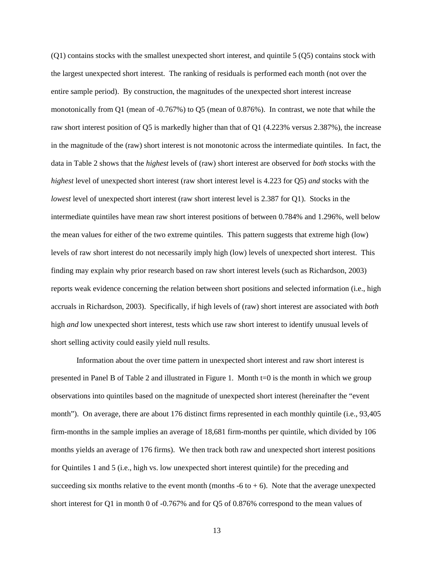(Q1) contains stocks with the smallest unexpected short interest, and quintile 5 (Q5) contains stock with the largest unexpected short interest. The ranking of residuals is performed each month (not over the entire sample period). By construction, the magnitudes of the unexpected short interest increase monotonically from Q1 (mean of -0.767%) to Q5 (mean of 0.876%). In contrast, we note that while the raw short interest position of Q5 is markedly higher than that of Q1 (4.223% versus 2.387%), the increase in the magnitude of the (raw) short interest is not monotonic across the intermediate quintiles. In fact, the data in Table 2 shows that the *highest* levels of (raw) short interest are observed for *both* stocks with the *highest* level of unexpected short interest (raw short interest level is 4.223 for Q5) *and* stocks with the *lowest* level of unexpected short interest (raw short interest level is 2.387 for Q1). Stocks in the intermediate quintiles have mean raw short interest positions of between 0.784% and 1.296%, well below the mean values for either of the two extreme quintiles. This pattern suggests that extreme high (low) levels of raw short interest do not necessarily imply high (low) levels of unexpected short interest. This finding may explain why prior research based on raw short interest levels (such as Richardson, 2003) reports weak evidence concerning the relation between short positions and selected information (i.e., high accruals in Richardson, 2003). Specifically, if high levels of (raw) short interest are associated with *both* high *and* low unexpected short interest, tests which use raw short interest to identify unusual levels of short selling activity could easily yield null results.

Information about the over time pattern in unexpected short interest and raw short interest is presented in Panel B of Table 2 and illustrated in Figure 1. Month t=0 is the month in which we group observations into quintiles based on the magnitude of unexpected short interest (hereinafter the "event month"). On average, there are about 176 distinct firms represented in each monthly quintile (i.e., 93,405 firm-months in the sample implies an average of 18,681 firm-months per quintile, which divided by 106 months yields an average of 176 firms). We then track both raw and unexpected short interest positions for Quintiles 1 and 5 (i.e., high vs. low unexpected short interest quintile) for the preceding and succeeding six months relative to the event month (months  $-6$  to  $+ 6$ ). Note that the average unexpected short interest for Q1 in month 0 of -0.767% and for Q5 of 0.876% correspond to the mean values of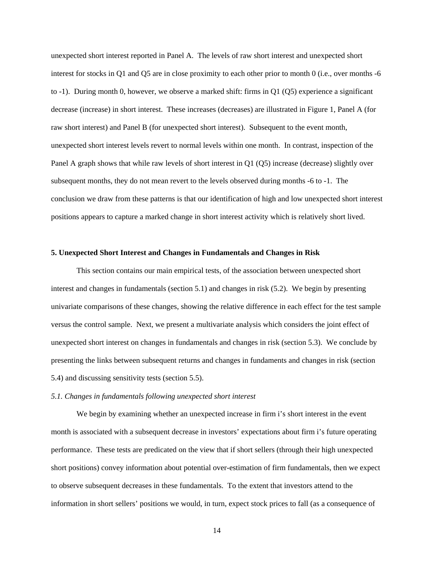unexpected short interest reported in Panel A. The levels of raw short interest and unexpected short interest for stocks in Q1 and Q5 are in close proximity to each other prior to month 0 (i.e., over months -6 to -1). During month 0, however, we observe a marked shift: firms in Q1 (Q5) experience a significant decrease (increase) in short interest. These increases (decreases) are illustrated in Figure 1, Panel A (for raw short interest) and Panel B (for unexpected short interest). Subsequent to the event month, unexpected short interest levels revert to normal levels within one month. In contrast, inspection of the Panel A graph shows that while raw levels of short interest in Q1 (Q5) increase (decrease) slightly over subsequent months, they do not mean revert to the levels observed during months -6 to -1. The conclusion we draw from these patterns is that our identification of high and low unexpected short interest positions appears to capture a marked change in short interest activity which is relatively short lived.

## **5. Unexpected Short Interest and Changes in Fundamentals and Changes in Risk**

 This section contains our main empirical tests, of the association between unexpected short interest and changes in fundamentals (section 5.1) and changes in risk (5.2). We begin by presenting univariate comparisons of these changes, showing the relative difference in each effect for the test sample versus the control sample. Next, we present a multivariate analysis which considers the joint effect of unexpected short interest on changes in fundamentals and changes in risk (section 5.3). We conclude by presenting the links between subsequent returns and changes in fundaments and changes in risk (section 5.4) and discussing sensitivity tests (section 5.5).

#### *5.1. Changes in fundamentals following unexpected short interest*

We begin by examining whether an unexpected increase in firm i's short interest in the event month is associated with a subsequent decrease in investors' expectations about firm i's future operating performance. These tests are predicated on the view that if short sellers (through their high unexpected short positions) convey information about potential over-estimation of firm fundamentals, then we expect to observe subsequent decreases in these fundamentals. To the extent that investors attend to the information in short sellers' positions we would, in turn, expect stock prices to fall (as a consequence of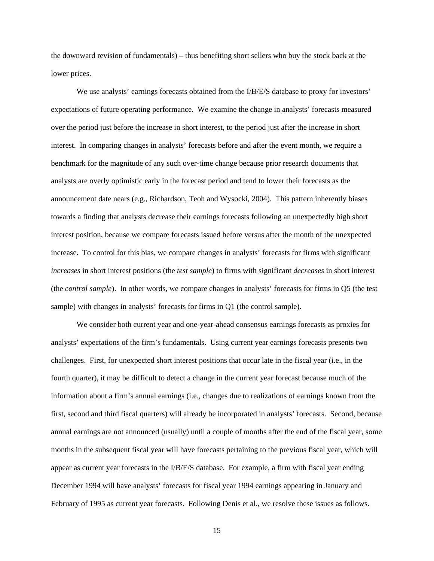the downward revision of fundamentals) – thus benefiting short sellers who buy the stock back at the lower prices.

We use analysts' earnings forecasts obtained from the I/B/E/S database to proxy for investors' expectations of future operating performance. We examine the change in analysts' forecasts measured over the period just before the increase in short interest, to the period just after the increase in short interest. In comparing changes in analysts' forecasts before and after the event month, we require a benchmark for the magnitude of any such over-time change because prior research documents that analysts are overly optimistic early in the forecast period and tend to lower their forecasts as the announcement date nears (e.g., Richardson, Teoh and Wysocki, 2004). This pattern inherently biases towards a finding that analysts decrease their earnings forecasts following an unexpectedly high short interest position, because we compare forecasts issued before versus after the month of the unexpected increase. To control for this bias, we compare changes in analysts' forecasts for firms with significant *increases* in short interest positions (the *test sample*) to firms with significant *decreases* in short interest (the *control sample*). In other words, we compare changes in analysts' forecasts for firms in Q5 (the test sample) with changes in analysts' forecasts for firms in Q1 (the control sample).

We consider both current year and one-year-ahead consensus earnings forecasts as proxies for analysts' expectations of the firm's fundamentals. Using current year earnings forecasts presents two challenges. First, for unexpected short interest positions that occur late in the fiscal year (i.e., in the fourth quarter), it may be difficult to detect a change in the current year forecast because much of the information about a firm's annual earnings (i.e., changes due to realizations of earnings known from the first, second and third fiscal quarters) will already be incorporated in analysts' forecasts. Second, because annual earnings are not announced (usually) until a couple of months after the end of the fiscal year, some months in the subsequent fiscal year will have forecasts pertaining to the previous fiscal year, which will appear as current year forecasts in the I/B/E/S database. For example, a firm with fiscal year ending December 1994 will have analysts' forecasts for fiscal year 1994 earnings appearing in January and February of 1995 as current year forecasts. Following Denis et al., we resolve these issues as follows.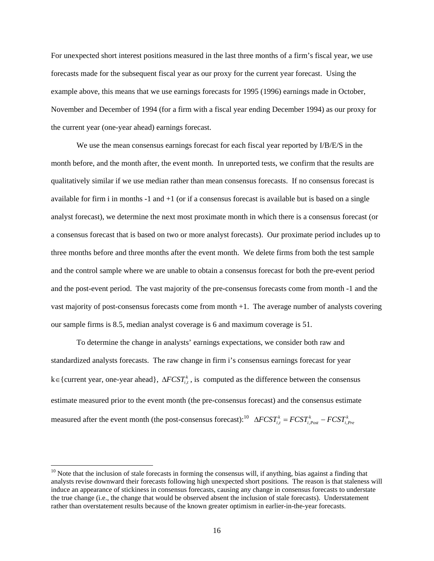For unexpected short interest positions measured in the last three months of a firm's fiscal year, we use forecasts made for the subsequent fiscal year as our proxy for the current year forecast. Using the example above, this means that we use earnings forecasts for 1995 (1996) earnings made in October, November and December of 1994 (for a firm with a fiscal year ending December 1994) as our proxy for the current year (one-year ahead) earnings forecast.

We use the mean consensus earnings forecast for each fiscal year reported by I/B/E/S in the month before, and the month after, the event month. In unreported tests, we confirm that the results are qualitatively similar if we use median rather than mean consensus forecasts. If no consensus forecast is available for firm i in months  $-1$  and  $+1$  (or if a consensus forecast is available but is based on a single analyst forecast), we determine the next most proximate month in which there is a consensus forecast (or a consensus forecast that is based on two or more analyst forecasts). Our proximate period includes up to three months before and three months after the event month. We delete firms from both the test sample and the control sample where we are unable to obtain a consensus forecast for both the pre-event period and the post-event period. The vast majority of the pre-consensus forecasts come from month -1 and the vast majority of post-consensus forecasts come from month +1. The average number of analysts covering our sample firms is 8.5, median analyst coverage is 6 and maximum coverage is 51.

To determine the change in analysts' earnings expectations, we consider both raw and standardized analysts forecasts. The raw change in firm i's consensus earnings forecast for year k∈{current year, one-year ahead},  $\Delta FCST_{i,t}^k$ , is computed as the difference between the consensus estimate measured prior to the event month (the pre-consensus forecast) and the consensus estimate measured after the event month (the post-consensus forecast):<sup>10</sup>  $\Delta FCST_{i,t}^k = FCST_{i,Post}^k - FCST_{i,Pre}^k$ 

 $10$  Note that the inclusion of stale forecasts in forming the consensus will, if anything, bias against a finding that analysts revise downward their forecasts following high unexpected short positions. The reason is that staleness will induce an appearance of stickiness in consensus forecasts, causing any change in consensus forecasts to understate the true change (i.e., the change that would be observed absent the inclusion of stale forecasts). Understatement rather than overstatement results because of the known greater optimism in earlier-in-the-year forecasts.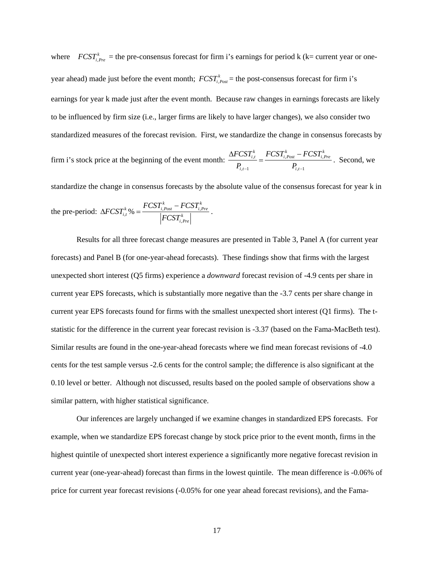where  $FCST_{i,Pre}^k$  = the pre-consensus forecast for firm i's earnings for period k (k= current year or oneyear ahead) made just before the event month;  $FCST_{i, Post}^{k}$  = the post-consensus forecast for firm i's earnings for year k made just after the event month. Because raw changes in earnings forecasts are likely to be influenced by firm size (i.e., larger firms are likely to have larger changes), we also consider two standardized measures of the forecast revision. First, we standardize the change in consensus forecasts by firm i's stock price at the beginning of the event month:  $\frac{\Delta FCSI_{i,t}}{T} = \frac{FCSI_{i,post} - FCSI_{i,t}}{T}$  $,t-1$   $\qquad \qquad \mathbf{1}_{i,t-1}$  $F^{k}_{i,t} = FCST^{k}_{i, Post} - FCST^{k}_{i, Pre}$  $i,t-1$   $I_{i,t}$  $FCST_{i,t}^k$   $FCST_{i\;Post}^k$   $-FCST_{i}^k$  $P_{i,t-1}$   $P_{i,t-1}$  $\frac{\Delta FCST_{i,t}^k}{\Delta FCST_{i,post}^k} = \frac{FCST_{i,Pre}^k - FCST_{i,Pre}^k}{\Delta FCST_{i,pre}^k}$ . Second, we

standardize the change in consensus forecasts by the absolute value of the consensus forecast for year k in

the pre-period: 
$$
\Delta FCST_{i,t}^k\% = \frac{FCST_{i,Post}^k - FCST_{i,Pre}^k}{|FCST_{i,Pre}^k|}
$$
.

 Results for all three forecast change measures are presented in Table 3, Panel A (for current year forecasts) and Panel B (for one-year-ahead forecasts). These findings show that firms with the largest unexpected short interest (Q5 firms) experience a *downward* forecast revision of -4.9 cents per share in current year EPS forecasts, which is substantially more negative than the -3.7 cents per share change in current year EPS forecasts found for firms with the smallest unexpected short interest (Q1 firms). The tstatistic for the difference in the current year forecast revision is -3.37 (based on the Fama-MacBeth test). Similar results are found in the one-year-ahead forecasts where we find mean forecast revisions of -4.0 cents for the test sample versus -2.6 cents for the control sample; the difference is also significant at the 0.10 level or better. Although not discussed, results based on the pooled sample of observations show a similar pattern, with higher statistical significance.

 Our inferences are largely unchanged if we examine changes in standardized EPS forecasts. For example, when we standardize EPS forecast change by stock price prior to the event month, firms in the highest quintile of unexpected short interest experience a significantly more negative forecast revision in current year (one-year-ahead) forecast than firms in the lowest quintile. The mean difference is -0.06% of price for current year forecast revisions (-0.05% for one year ahead forecast revisions), and the Fama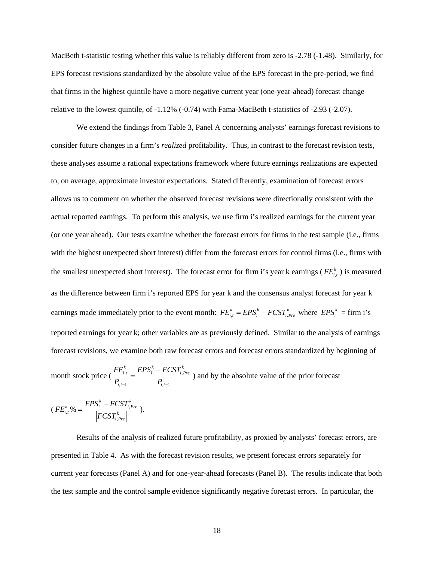MacBeth t-statistic testing whether this value is reliably different from zero is -2.78 (-1.48). Similarly, for EPS forecast revisions standardized by the absolute value of the EPS forecast in the pre-period, we find that firms in the highest quintile have a more negative current year (one-year-ahead) forecast change relative to the lowest quintile, of -1.12% (-0.74) with Fama-MacBeth t-statistics of -2.93 (-2.07).

 We extend the findings from Table 3, Panel A concerning analysts' earnings forecast revisions to consider future changes in a firm's *realized* profitability. Thus, in contrast to the forecast revision tests, these analyses assume a rational expectations framework where future earnings realizations are expected to, on average, approximate investor expectations. Stated differently, examination of forecast errors allows us to comment on whether the observed forecast revisions were directionally consistent with the actual reported earnings. To perform this analysis, we use firm i's realized earnings for the current year (or one year ahead). Our tests examine whether the forecast errors for firms in the test sample (i.e., firms with the highest unexpected short interest) differ from the forecast errors for control firms (i.e., firms with the smallest unexpected short interest). The forecast error for firm i's year k earnings ( $FE_{i,t}^{k}$ ) is measured as the difference between firm i's reported EPS for year k and the consensus analyst forecast for year k earnings made immediately prior to the event month:  $FE_{i,t}^k = EPS_i^k - FCST_{i,Pre}^k$  where  $EPS_i^k = \text{firm i's}$ reported earnings for year k; other variables are as previously defined. Similar to the analysis of earnings forecast revisions, we examine both raw forecast errors and forecast errors standardized by beginning of

month stock price  $\left(\frac{P E_{i,t}}{P}\right) = \frac{E I S_i - P C S I_{i,t}}{P}$  $,t-1$   $\qquad \qquad \bullet i,t-1$  $\mathit{EPS}^k_i - FCST^k_{i,Pre}$  $i,t-1$   $\qquad \qquad i,t$  $FE^k_{i,t}$  *EPS* $^k_i$  – *FCST*  $P_{i,t-1}$   $P_{i,t-1}$  $=\frac{EPS_i^k - FCST_{i,Pre}^k}{2}$  and by the absolute value of the prior forecast

$$
(FE_{i,t}^k\% = \frac{EPS_i^k - FCST_{i,Pre}^k}{\left| FCST_{i,Pre}^k \right|}).
$$

 Results of the analysis of realized future profitability, as proxied by analysts' forecast errors, are presented in Table 4. As with the forecast revision results, we present forecast errors separately for current year forecasts (Panel A) and for one-year-ahead forecasts (Panel B). The results indicate that both the test sample and the control sample evidence significantly negative forecast errors. In particular, the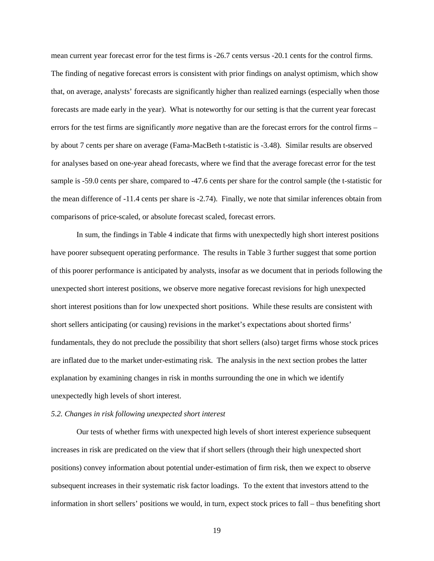mean current year forecast error for the test firms is -26.7 cents versus -20.1 cents for the control firms. The finding of negative forecast errors is consistent with prior findings on analyst optimism, which show that, on average, analysts' forecasts are significantly higher than realized earnings (especially when those forecasts are made early in the year). What is noteworthy for our setting is that the current year forecast errors for the test firms are significantly *more* negative than are the forecast errors for the control firms – by about 7 cents per share on average (Fama-MacBeth t-statistic is -3.48). Similar results are observed for analyses based on one-year ahead forecasts, where we find that the average forecast error for the test sample is -59.0 cents per share, compared to -47.6 cents per share for the control sample (the t-statistic for the mean difference of -11.4 cents per share is -2.74). Finally, we note that similar inferences obtain from comparisons of price-scaled, or absolute forecast scaled, forecast errors.

 In sum, the findings in Table 4 indicate that firms with unexpectedly high short interest positions have poorer subsequent operating performance. The results in Table 3 further suggest that some portion of this poorer performance is anticipated by analysts, insofar as we document that in periods following the unexpected short interest positions, we observe more negative forecast revisions for high unexpected short interest positions than for low unexpected short positions. While these results are consistent with short sellers anticipating (or causing) revisions in the market's expectations about shorted firms' fundamentals, they do not preclude the possibility that short sellers (also) target firms whose stock prices are inflated due to the market under-estimating risk. The analysis in the next section probes the latter explanation by examining changes in risk in months surrounding the one in which we identify unexpectedly high levels of short interest.

#### *5.2. Changes in risk following unexpected short interest*

Our tests of whether firms with unexpected high levels of short interest experience subsequent increases in risk are predicated on the view that if short sellers (through their high unexpected short positions) convey information about potential under-estimation of firm risk, then we expect to observe subsequent increases in their systematic risk factor loadings. To the extent that investors attend to the information in short sellers' positions we would, in turn, expect stock prices to fall – thus benefiting short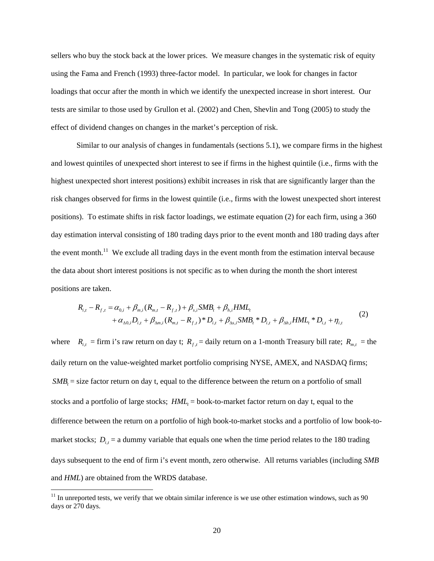sellers who buy the stock back at the lower prices. We measure changes in the systematic risk of equity using the Fama and French (1993) three-factor model. In particular, we look for changes in factor loadings that occur after the month in which we identify the unexpected increase in short interest. Our tests are similar to those used by Grullon et al. (2002) and Chen, Shevlin and Tong (2005) to study the effect of dividend changes on changes in the market's perception of risk.

Similar to our analysis of changes in fundamentals (sections 5.1), we compare firms in the highest and lowest quintiles of unexpected short interest to see if firms in the highest quintile (i.e., firms with the highest unexpected short interest positions) exhibit increases in risk that are significantly larger than the risk changes observed for firms in the lowest quintile (i.e., firms with the lowest unexpected short interest positions). To estimate shifts in risk factor loadings, we estimate equation (2) for each firm, using a 360 day estimation interval consisting of 180 trading days prior to the event month and 180 trading days after the event month.<sup>11</sup> We exclude all trading days in the event month from the estimation interval because the data about short interest positions is not specific as to when during the month the short interest positions are taken.

$$
R_{i,t} - R_{f,t} = \alpha_{0,i} + \beta_{m,i}(R_{m,t} - R_{f,t}) + \beta_{s,i}SMB_t + \beta_{h,i}HML_t + \alpha_{\Delta 0,i}D_{i,t} + \beta_{\Delta m,i}(R_{m,t} - R_{f,t})^*D_{i,t} + \beta_{\Delta s,i}SMB_t^*D_{i,t} + \beta_{\Delta h,i}HML_t^*D_{i,t} + \eta_{i,t}
$$
(2)

where  $R_{i,t}$  = firm i's raw return on day t;  $R_{f,t}$  = daily return on a 1-month Treasury bill rate;  $R_{m,t}$  = the daily return on the value-weighted market portfolio comprising NYSE, AMEX, and NASDAQ firms; *SMB<sub>i</sub>* = size factor return on day t, equal to the difference between the return on a portfolio of small stocks and a portfolio of large stocks;  $HML<sub>t</sub> = \text{book-to-market factor return on day t, equal to the}$ difference between the return on a portfolio of high book-to-market stocks and a portfolio of low book-tomarket stocks;  $D_{i,t}$  = a dummy variable that equals one when the time period relates to the 180 trading days subsequent to the end of firm i's event month, zero otherwise. All returns variables (including *SMB* and *HML*) are obtained from the WRDS database.

 $11$  In unreported tests, we verify that we obtain similar inference is we use other estimation windows, such as 90 days or 270 days.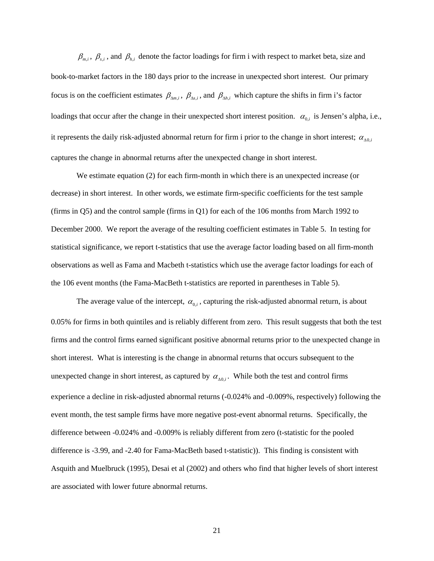$\beta_{m,i}$ ,  $\beta_{s,i}$ , and  $\beta_{h,i}$  denote the factor loadings for firm i with respect to market beta, size and book-to-market factors in the 180 days prior to the increase in unexpected short interest. Our primary focus is on the coefficient estimates  $\beta_{\Delta m,i}$ ,  $\beta_{\Delta s,i}$ , and  $\beta_{\Delta h,i}$  which capture the shifts in firm i's factor loadings that occur after the change in their unexpected short interest position.  $\alpha_{0,i}$  is Jensen's alpha, i.e., it represents the daily risk-adjusted abnormal return for firm i prior to the change in short interest;  $\alpha_{\text{A0,i}}$ captures the change in abnormal returns after the unexpected change in short interest.

 We estimate equation (2) for each firm-month in which there is an unexpected increase (or decrease) in short interest. In other words, we estimate firm-specific coefficients for the test sample (firms in Q5) and the control sample (firms in Q1) for each of the 106 months from March 1992 to December 2000. We report the average of the resulting coefficient estimates in Table 5. In testing for statistical significance, we report t-statistics that use the average factor loading based on all firm-month observations as well as Fama and Macbeth t-statistics which use the average factor loadings for each of the 106 event months (the Fama-MacBeth t-statistics are reported in parentheses in Table 5).

The average value of the intercept,  $\alpha_{0,i}$ , capturing the risk-adjusted abnormal return, is about 0.05% for firms in both quintiles and is reliably different from zero. This result suggests that both the test firms and the control firms earned significant positive abnormal returns prior to the unexpected change in short interest. What is interesting is the change in abnormal returns that occurs subsequent to the unexpected change in short interest, as captured by  $\alpha_{\Delta 0,i}$ . While both the test and control firms experience a decline in risk-adjusted abnormal returns (-0.024% and -0.009%, respectively) following the event month, the test sample firms have more negative post-event abnormal returns. Specifically, the difference between -0.024% and -0.009% is reliably different from zero (t-statistic for the pooled difference is -3.99, and -2.40 for Fama-MacBeth based t-statistic)). This finding is consistent with Asquith and Muelbruck (1995), Desai et al (2002) and others who find that higher levels of short interest are associated with lower future abnormal returns.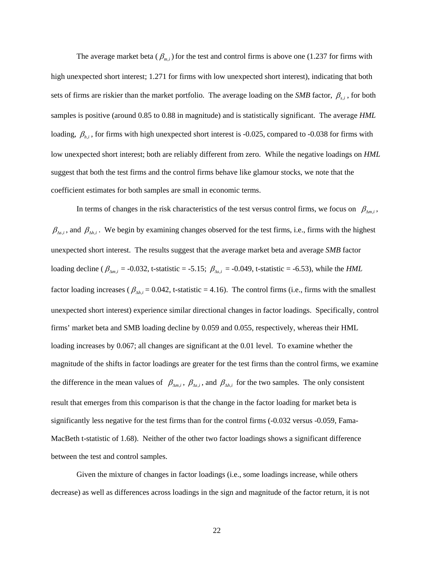The average market beta ( $\beta_{m,i}$ ) for the test and control firms is above one (1.237 for firms with high unexpected short interest; 1.271 for firms with low unexpected short interest), indicating that both sets of firms are riskier than the market portfolio. The average loading on the *SMB* factor,  $\beta_{s,i}$ , for both samples is positive (around 0.85 to 0.88 in magnitude) and is statistically significant. The average *HML* loading,  $β_{h,i}$ , for firms with high unexpected short interest is -0.025, compared to -0.038 for firms with low unexpected short interest; both are reliably different from zero. While the negative loadings on *HML* suggest that both the test firms and the control firms behave like glamour stocks, we note that the coefficient estimates for both samples are small in economic terms.

In terms of changes in the risk characteristics of the test versus control firms, we focus on  $\beta_{\Delta m,i}$ ,  $\beta_{\Delta s,i}$ , and  $\beta_{\Delta h,i}$ . We begin by examining changes observed for the test firms, i.e., firms with the highest unexpected short interest. The results suggest that the average market beta and average *SMB* factor loading decline ( $\beta_{\Delta m,i}$  = -0.032, t-statistic = -5.15;  $\beta_{\Delta s,i}$  = -0.049, t-statistic = -6.53), while the *HML* factor loading increases ( $\beta_{\Delta h,i}$  = 0.042, t-statistic = 4.16). The control firms (i.e., firms with the smallest unexpected short interest) experience similar directional changes in factor loadings. Specifically, control firms' market beta and SMB loading decline by 0.059 and 0.055, respectively, whereas their HML loading increases by 0.067; all changes are significant at the 0.01 level. To examine whether the magnitude of the shifts in factor loadings are greater for the test firms than the control firms, we examine the difference in the mean values of  $\beta_{\Delta m,i}$ ,  $\beta_{\Delta s,i}$ , and  $\beta_{\Delta h,i}$  for the two samples. The only consistent result that emerges from this comparison is that the change in the factor loading for market beta is significantly less negative for the test firms than for the control firms (-0.032 versus -0.059, Fama-MacBeth t-statistic of 1.68). Neither of the other two factor loadings shows a significant difference between the test and control samples.

 Given the mixture of changes in factor loadings (i.e., some loadings increase, while others decrease) as well as differences across loadings in the sign and magnitude of the factor return, it is not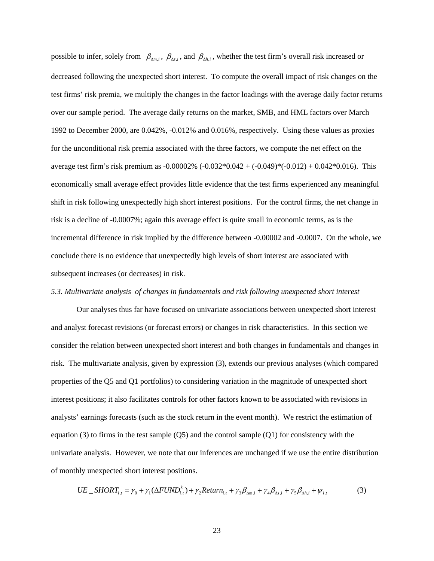possible to infer, solely from  $\beta_{\Delta m,i}$ ,  $\beta_{\Delta s,i}$ , and  $\beta_{\Delta h,i}$ , whether the test firm's overall risk increased or decreased following the unexpected short interest. To compute the overall impact of risk changes on the test firms' risk premia, we multiply the changes in the factor loadings with the average daily factor returns over our sample period. The average daily returns on the market, SMB, and HML factors over March 1992 to December 2000, are 0.042%, -0.012% and 0.016%, respectively. Using these values as proxies for the unconditional risk premia associated with the three factors, we compute the net effect on the average test firm's risk premium as  $-0.00002\%$   $(-0.032\cdot 0.042 + (-0.049)\cdot (-0.012) + 0.042\cdot 0.016)$ . This economically small average effect provides little evidence that the test firms experienced any meaningful shift in risk following unexpectedly high short interest positions. For the control firms, the net change in risk is a decline of -0.0007%; again this average effect is quite small in economic terms, as is the incremental difference in risk implied by the difference between -0.00002 and -0.0007. On the whole, we conclude there is no evidence that unexpectedly high levels of short interest are associated with subsequent increases (or decreases) in risk.

#### *5.3. Multivariate analysis of changes in fundamentals and risk following unexpected short interest*

 Our analyses thus far have focused on univariate associations between unexpected short interest and analyst forecast revisions (or forecast errors) or changes in risk characteristics. In this section we consider the relation between unexpected short interest and both changes in fundamentals and changes in risk. The multivariate analysis, given by expression (3), extends our previous analyses (which compared properties of the Q5 and Q1 portfolios) to considering variation in the magnitude of unexpected short interest positions; it also facilitates controls for other factors known to be associated with revisions in analysts' earnings forecasts (such as the stock return in the event month). We restrict the estimation of equation (3) to firms in the test sample  $(Q5)$  and the control sample  $(Q1)$  for consistency with the univariate analysis. However, we note that our inferences are unchanged if we use the entire distribution of monthly unexpected short interest positions.

$$
UE\_SHORT_{i,t} = \gamma_0 + \gamma_1(\Delta FUND_{i,t}^k) + \gamma_2 Return_{i,t} + \gamma_3 \beta_{\Delta m,i} + \gamma_4 \beta_{\Delta s,i} + \gamma_5 \beta_{\Delta h,i} + \psi_{i,t}
$$
(3)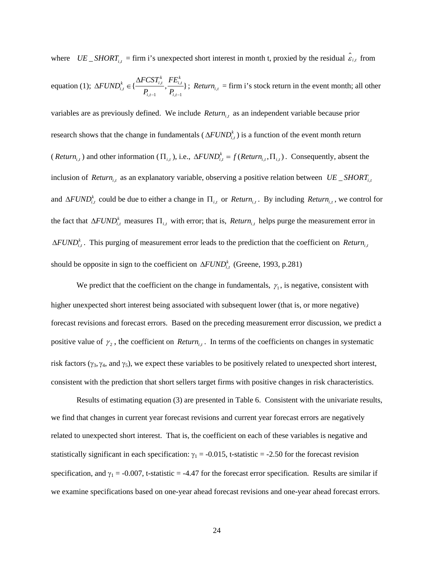where  $UE\_SHORT_{i,t}$  = firm i's unexpected short interest in month t, proxied by the residual  $\hat{\epsilon}_{i,t}$  from equation (1);  $\Delta FUND_{i,t}^k \in \{\frac{\Delta FCST_{i,t}}{R}, \frac{FL_{i,t}}{R}\}$  $,t-1$   $\qquad \qquad i,t-1$  $\{\frac{\Delta x \sum_{i,t}}{n}, \frac{\sum_{i,t}}{n}\}$  $\sum_{i,t}^{k} \in \{\frac{\Delta FCST_{i,t}^{k}}{P}, \frac{FE_{i,t}^{k}}{P}\}$  $i,t-1$   $\qquad i,t$  $FCST^k_{i,t}$   $FE$ *FUND*  $P_{i,t-1}$   $P_{i,t-1}$ ∆  $\Delta FUND_{i,t}^k \in \{\frac{2\pi}{n}, \frac{2\pi}{n}, \frac{2\pi}{n}\}\;$ ; *Return*<sub>i,t</sub> = firm i's stock return in the event month; all other variables are as previously defined. We include *Return*<sub>it</sub> as an independent variable because prior research shows that the change in fundamentals ( $\Delta FUND_{i,t}^k$ ) is a function of the event month return (*Return*<sub>it</sub>) and other information ( $\Pi_{i,t}$ ), i.e.,  $\Delta FUND_{i,t}^k = f(Return_{i,t}, \Pi_{i,t})$ . Consequently, absent the inclusion of *Return*<sub>ix</sub> as an explanatory variable, observing a positive relation between  $UE\_SHORT$ <sub>ix</sub> and  $\Delta FUND_{i,t}^k$  could be due to either a change in  $\Pi_{i,t}$  or *Return*<sub>i,t</sub>. By including *Return*<sub>i,t</sub>, we control for the fact that  $\Delta FUND_{i,t}^k$  measures  $\Pi_{i,t}$  with error; that is, *Return*<sub>i,t</sub> helps purge the measurement error in  $\Delta FUND_{i,t}^k$ . This purging of measurement error leads to the prediction that the coefficient on *Return*<sub>i,*e*</sub> should be opposite in sign to the coefficient on  $\Delta FUND_{i,t}^k$  (Greene, 1993, p.281)

We predict that the coefficient on the change in fundamentals,  $\gamma_1$ , is negative, consistent with higher unexpected short interest being associated with subsequent lower (that is, or more negative) forecast revisions and forecast errors. Based on the preceding measurement error discussion, we predict a positive value of  $\gamma_2$ , the coefficient on *Return*<sub>it</sub>. In terms of the coefficients on changes in systematic risk factors ( $\gamma_3$ ,  $\gamma_4$ , and  $\gamma_5$ ), we expect these variables to be positively related to unexpected short interest, consistent with the prediction that short sellers target firms with positive changes in risk characteristics.

 Results of estimating equation (3) are presented in Table 6. Consistent with the univariate results, we find that changes in current year forecast revisions and current year forecast errors are negatively related to unexpected short interest. That is, the coefficient on each of these variables is negative and statistically significant in each specification:  $\gamma_1 = -0.015$ , t-statistic = -2.50 for the forecast revision specification, and  $\gamma_1 = -0.007$ , t-statistic = -4.47 for the forecast error specification. Results are similar if we examine specifications based on one-year ahead forecast revisions and one-year ahead forecast errors.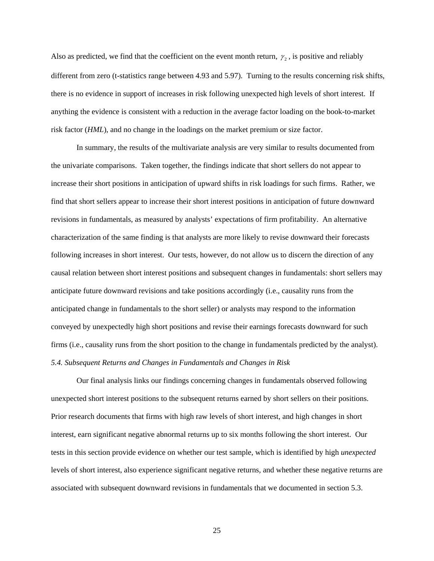Also as predicted, we find that the coefficient on the event month return,  $\gamma_2$ , is positive and reliably different from zero (t-statistics range between 4.93 and 5.97). Turning to the results concerning risk shifts, there is no evidence in support of increases in risk following unexpected high levels of short interest. If anything the evidence is consistent with a reduction in the average factor loading on the book-to-market risk factor (*HML*), and no change in the loadings on the market premium or size factor.

 In summary, the results of the multivariate analysis are very similar to results documented from the univariate comparisons. Taken together, the findings indicate that short sellers do not appear to increase their short positions in anticipation of upward shifts in risk loadings for such firms. Rather, we find that short sellers appear to increase their short interest positions in anticipation of future downward revisions in fundamentals, as measured by analysts' expectations of firm profitability. An alternative characterization of the same finding is that analysts are more likely to revise downward their forecasts following increases in short interest. Our tests, however, do not allow us to discern the direction of any causal relation between short interest positions and subsequent changes in fundamentals: short sellers may anticipate future downward revisions and take positions accordingly (i.e., causality runs from the anticipated change in fundamentals to the short seller) or analysts may respond to the information conveyed by unexpectedly high short positions and revise their earnings forecasts downward for such firms (i.e., causality runs from the short position to the change in fundamentals predicted by the analyst). *5.4. Subsequent Returns and Changes in Fundamentals and Changes in Risk* 

 Our final analysis links our findings concerning changes in fundamentals observed following unexpected short interest positions to the subsequent returns earned by short sellers on their positions. Prior research documents that firms with high raw levels of short interest, and high changes in short interest, earn significant negative abnormal returns up to six months following the short interest. Our tests in this section provide evidence on whether our test sample, which is identified by high *unexpected* levels of short interest, also experience significant negative returns, and whether these negative returns are associated with subsequent downward revisions in fundamentals that we documented in section 5.3.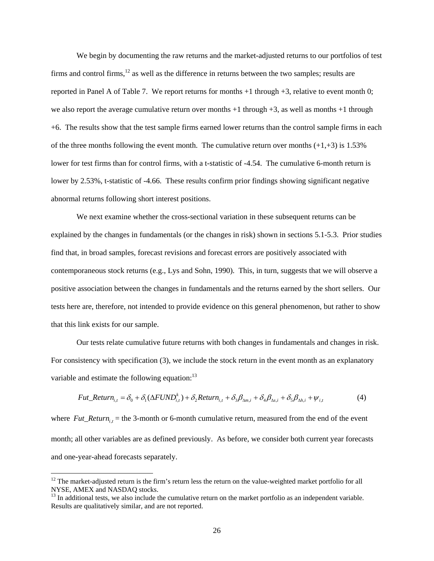We begin by documenting the raw returns and the market-adjusted returns to our portfolios of test firms and control firms, $12$  as well as the difference in returns between the two samples; results are reported in Panel A of Table 7. We report returns for months +1 through +3, relative to event month 0; we also report the average cumulative return over months  $+1$  through  $+3$ , as well as months  $+1$  through +6. The results show that the test sample firms earned lower returns than the control sample firms in each of the three months following the event month. The cumulative return over months  $(+1, +3)$  is 1.53% lower for test firms than for control firms, with a t-statistic of -4.54. The cumulative 6-month return is lower by 2.53%, t-statistic of -4.66. These results confirm prior findings showing significant negative abnormal returns following short interest positions.

 We next examine whether the cross-sectional variation in these subsequent returns can be explained by the changes in fundamentals (or the changes in risk) shown in sections 5.1-5.3. Prior studies find that, in broad samples, forecast revisions and forecast errors are positively associated with contemporaneous stock returns (e.g., Lys and Sohn, 1990). This, in turn, suggests that we will observe a positive association between the changes in fundamentals and the returns earned by the short sellers. Our tests here are, therefore, not intended to provide evidence on this general phenomenon, but rather to show that this link exists for our sample.

 Our tests relate cumulative future returns with both changes in fundamentals and changes in risk. For consistency with specification (3), we include the stock return in the event month as an explanatory variable and estimate the following equation: $^{13}$ 

$$
Fut\_Return_{i,t} = \delta_0 + \delta_1(\Delta FUND_{i,t}^k) + \delta_2 Return_{i,t} + \delta_3 \beta_{\Delta m,i} + \delta_4 \beta_{\Delta s,i} + \delta_5 \beta_{\Delta h,i} + \psi_{i,t}
$$
(4)

where  $Fut\_Return_{i,t}$  = the 3-month or 6-month cumulative return, measured from the end of the event month; all other variables are as defined previously. As before, we consider both current year forecasts and one-year-ahead forecasts separately.

 $12$  The market-adjusted return is the firm's return less the return on the value-weighted market portfolio for all NYSE, AMEX and NASDAQ stocks.

 $13$  In additional tests, we also include the cumulative return on the market portfolio as an independent variable. Results are qualitatively similar, and are not reported.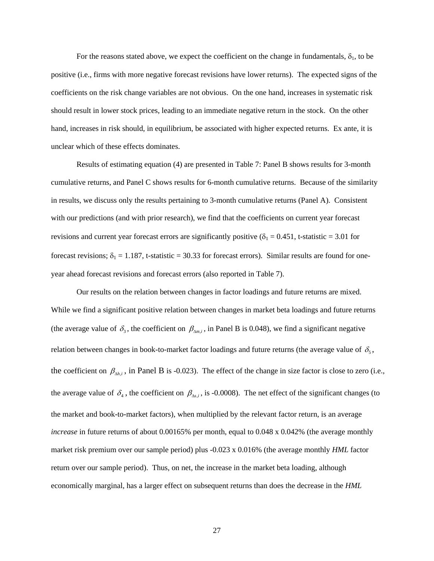For the reasons stated above, we expect the coefficient on the change in fundamentals,  $\delta_1$ , to be positive (i.e., firms with more negative forecast revisions have lower returns). The expected signs of the coefficients on the risk change variables are not obvious. On the one hand, increases in systematic risk should result in lower stock prices, leading to an immediate negative return in the stock. On the other hand, increases in risk should, in equilibrium, be associated with higher expected returns. Ex ante, it is unclear which of these effects dominates.

 Results of estimating equation (4) are presented in Table 7: Panel B shows results for 3-month cumulative returns, and Panel C shows results for 6-month cumulative returns. Because of the similarity in results, we discuss only the results pertaining to 3-month cumulative returns (Panel A). Consistent with our predictions (and with prior research), we find that the coefficients on current year forecast revisions and current year forecast errors are significantly positive ( $\delta_1 = 0.451$ , t-statistic = 3.01 for forecast revisions;  $\delta_1 = 1.187$ , t-statistic = 30.33 for forecast errors). Similar results are found for oneyear ahead forecast revisions and forecast errors (also reported in Table 7).

 Our results on the relation between changes in factor loadings and future returns are mixed. While we find a significant positive relation between changes in market beta loadings and future returns (the average value of  $\delta_3$ , the coefficient on  $\beta_{\Delta m,i}$ , in Panel B is 0.048), we find a significant negative relation between changes in book-to-market factor loadings and future returns (the average value of  $\delta_5$ , the coefficient on  $\beta_{\Delta h,i}$ , in Panel B is -0.023). The effect of the change in size factor is close to zero (i.e., the average value of  $\delta_4$ , the coefficient on  $\beta_{\Delta s,i}$ , is -0.0008). The net effect of the significant changes (to the market and book-to-market factors), when multiplied by the relevant factor return, is an average *increase* in future returns of about 0.00165% per month, equal to 0.048 x 0.042% (the average monthly market risk premium over our sample period) plus -0.023 x 0.016% (the average monthly *HML* factor return over our sample period). Thus, on net, the increase in the market beta loading, although economically marginal, has a larger effect on subsequent returns than does the decrease in the *HML*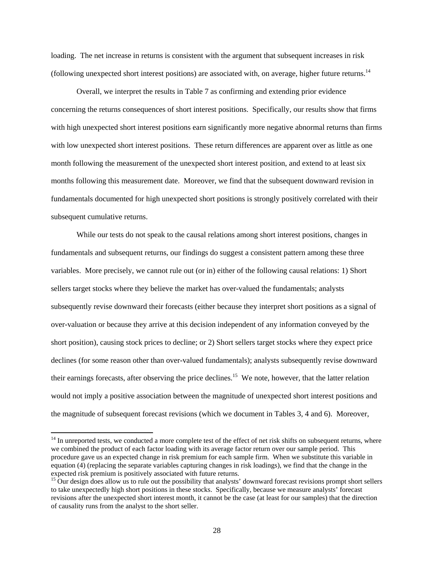loading. The net increase in returns is consistent with the argument that subsequent increases in risk (following unexpected short interest positions) are associated with, on average, higher future returns.14

 Overall, we interpret the results in Table 7 as confirming and extending prior evidence concerning the returns consequences of short interest positions. Specifically, our results show that firms with high unexpected short interest positions earn significantly more negative abnormal returns than firms with low unexpected short interest positions. These return differences are apparent over as little as one month following the measurement of the unexpected short interest position, and extend to at least six months following this measurement date. Moreover, we find that the subsequent downward revision in fundamentals documented for high unexpected short positions is strongly positively correlated with their subsequent cumulative returns.

While our tests do not speak to the causal relations among short interest positions, changes in fundamentals and subsequent returns, our findings do suggest a consistent pattern among these three variables. More precisely, we cannot rule out (or in) either of the following causal relations: 1) Short sellers target stocks where they believe the market has over-valued the fundamentals; analysts subsequently revise downward their forecasts (either because they interpret short positions as a signal of over-valuation or because they arrive at this decision independent of any information conveyed by the short position), causing stock prices to decline; or 2) Short sellers target stocks where they expect price declines (for some reason other than over-valued fundamentals); analysts subsequently revise downward their earnings forecasts, after observing the price declines.15 We note, however, that the latter relation would not imply a positive association between the magnitude of unexpected short interest positions and the magnitude of subsequent forecast revisions (which we document in Tables 3, 4 and 6). Moreover,

 $14$  In unreported tests, we conducted a more complete test of the effect of net risk shifts on subsequent returns, where we combined the product of each factor loading with its average factor return over our sample period. This procedure gave us an expected change in risk premium for each sample firm. When we substitute this variable in equation (4) (replacing the separate variables capturing changes in risk loadings), we find that the change in the expected risk premium is positively associated with future returns.

 $15$  Our design does allow us to rule out the possibility that analysts' downward forecast revisions prompt short sellers to take unexpectedly high short positions in these stocks. Specifically, because we measure analysts' forecast revisions after the unexpected short interest month, it cannot be the case (at least for our samples) that the direction of causality runs from the analyst to the short seller.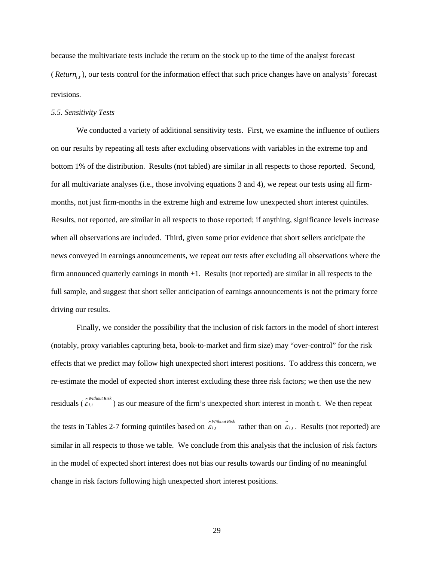because the multivariate tests include the return on the stock up to the time of the analyst forecast (*Return*, , ), our tests control for the information effect that such price changes have on analysts' forecast revisions.

#### *5.5. Sensitivity Tests*

 We conducted a variety of additional sensitivity tests. First, we examine the influence of outliers on our results by repeating all tests after excluding observations with variables in the extreme top and bottom 1% of the distribution. Results (not tabled) are similar in all respects to those reported. Second, for all multivariate analyses (i.e., those involving equations 3 and 4), we repeat our tests using all firmmonths, not just firm-months in the extreme high and extreme low unexpected short interest quintiles. Results, not reported, are similar in all respects to those reported; if anything, significance levels increase when all observations are included. Third, given some prior evidence that short sellers anticipate the news conveyed in earnings announcements, we repeat our tests after excluding all observations where the firm announced quarterly earnings in month +1. Results (not reported) are similar in all respects to the full sample, and suggest that short seller anticipation of earnings announcements is not the primary force driving our results.

 Finally, we consider the possibility that the inclusion of risk factors in the model of short interest (notably, proxy variables capturing beta, book-to-market and firm size) may "over-control" for the risk effects that we predict may follow high unexpected short interest positions. To address this concern, we re-estimate the model of expected short interest excluding these three risk factors; we then use the new *residuals* ( $\hat{\epsilon}_{i,t}$  ) as our measure of the firm's unexpected short interest in month t. We then repeat the tests in Tables 2-7 forming quintiles based on  $\hat{\varepsilon}_{i,t}$  rather than on  $\hat{\varepsilon}_{i,t}$ . Results (not reported) are similar in all respects to those we table. We conclude from this analysis that the inclusion of risk factors in the model of expected short interest does not bias our results towards our finding of no meaningful change in risk factors following high unexpected short interest positions.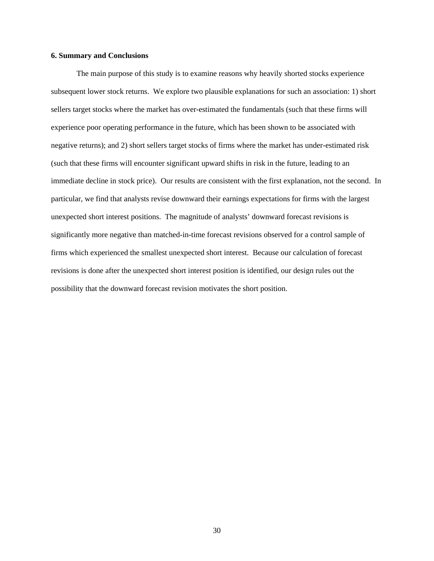### **6. Summary and Conclusions**

 The main purpose of this study is to examine reasons why heavily shorted stocks experience subsequent lower stock returns. We explore two plausible explanations for such an association: 1) short sellers target stocks where the market has over-estimated the fundamentals (such that these firms will experience poor operating performance in the future, which has been shown to be associated with negative returns); and 2) short sellers target stocks of firms where the market has under-estimated risk (such that these firms will encounter significant upward shifts in risk in the future, leading to an immediate decline in stock price). Our results are consistent with the first explanation, not the second. In particular, we find that analysts revise downward their earnings expectations for firms with the largest unexpected short interest positions. The magnitude of analysts' downward forecast revisions is significantly more negative than matched-in-time forecast revisions observed for a control sample of firms which experienced the smallest unexpected short interest. Because our calculation of forecast revisions is done after the unexpected short interest position is identified, our design rules out the possibility that the downward forecast revision motivates the short position.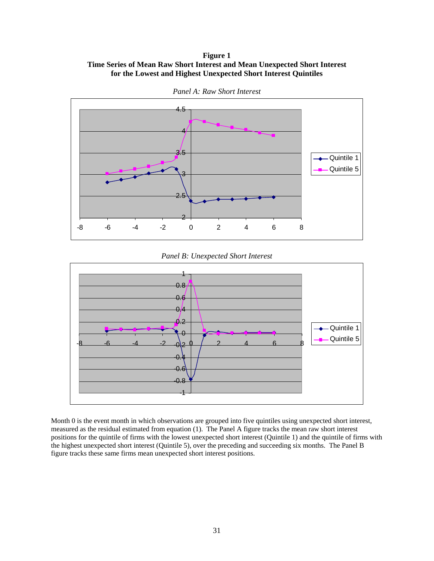## **Figure 1 Time Series of Mean Raw Short Interest and Mean Unexpected Short Interest for the Lowest and Highest Unexpected Short Interest Quintiles**



*Panel A: Raw Short Interest* 

*Panel B: Unexpected Short Interest* 



Month 0 is the event month in which observations are grouped into five quintiles using unexpected short interest, measured as the residual estimated from equation (1). The Panel A figure tracks the mean raw short interest positions for the quintile of firms with the lowest unexpected short interest (Quintile 1) and the quintile of firms with the highest unexpected short interest (Quintile 5), over the preceding and succeeding six months. The Panel B figure tracks these same firms mean unexpected short interest positions.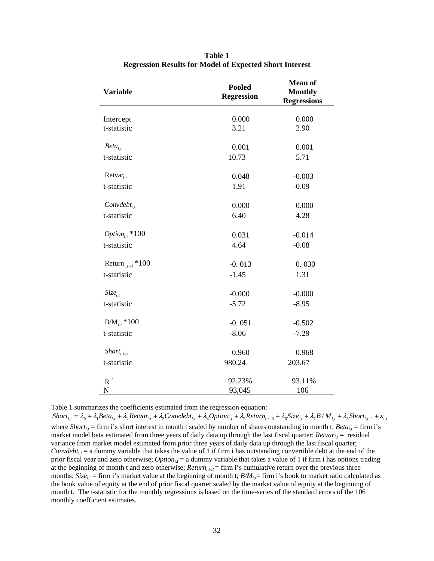| <b>Variable</b>                     | <b>Pooled</b><br><b>Regression</b> | <b>Mean of</b><br><b>Monthly</b><br><b>Regressions</b> |
|-------------------------------------|------------------------------------|--------------------------------------------------------|
|                                     |                                    |                                                        |
| Intercept                           | 0.000                              | 0.000                                                  |
| t-statistic                         | 3.21                               | 2.90                                                   |
| $Beta_{i,t}$                        | 0.001                              | 0.001                                                  |
| t-statistic                         | 10.73                              | 5.71                                                   |
|                                     |                                    |                                                        |
| Retvar <sub>i.t</sub>               | 0.048                              | $-0.003$                                               |
| t-statistic                         | 1.91                               | $-0.09$                                                |
|                                     |                                    |                                                        |
| $Convdebt_{i,t}$                    | 0.000                              | 0.000                                                  |
| t-statistic                         | 6.40                               | 4.28                                                   |
|                                     |                                    |                                                        |
| Option <sub>i,</sub> $*100$         | 0.031                              | $-0.014$                                               |
| t-statistic                         | 4.64                               | $-0.08$                                                |
|                                     |                                    |                                                        |
| Return <sub><i>i.t</i>-3</sub> *100 | $-0.013$                           | 0.030                                                  |
| t-statistic                         | $-1.45$                            | 1.31                                                   |
|                                     |                                    |                                                        |
| $Size_{i.t}$                        | $-0.000$                           | $-0.000$                                               |
| t-statistic                         | $-5.72$                            | $-8.95$                                                |
| $B/M_{i,t}*100$                     | $-0.051$                           | $-0.502$                                               |
| t-statistic                         | $-8.06$                            | $-7.29$                                                |
|                                     |                                    |                                                        |
| $Short_{i,t-1}$                     | 0.960                              | 0.968                                                  |
| t-statistic                         | 980.24                             | 203.67                                                 |
|                                     |                                    |                                                        |
| $R^2$                               | 92.23%                             | 93.11%                                                 |
| ${\bf N}$                           | 93,045                             | 106                                                    |

**Table 1 Regression Results for Model of Expected Short Interest** 

Table 1 summarizes the coefficients estimated from the regression equation:

 $Short_{i,t} = \lambda_0 + \lambda_1 Beta_{i,t} + \lambda_2 Return_{i,t} + \lambda_3 Convdebt_{i,t} + \lambda_4 Option_{i,t} + \lambda_5 Return_{i,t-3} + \lambda_6 Size_{i,t} + \lambda_7 B/M_{i,t} + \lambda_8 Short_{i,t-1} + \varepsilon_{i,t}$ where *Short<sub>i,t</sub>* = firm i's short interest in month t scaled by number of shares outstanding in month t; *Beta<sub>i,t</sub>* = firm i's market model beta estimated from three years of daily data up through the last fiscal quarter;  $Re{\nu}ar_i$  = residual variance from market model estimated from prior three years of daily data up through the last fiscal quarter; *Convdebt<sub>i,t</sub>* = a dummy variable that takes the value of 1 if firm i has outstanding convertible debt at the end of the prior fiscal year and zero otherwise; *Option<sub>i,t</sub>* = a dummy variable that takes a value of 1 if firm i has options trading at the beginning of month t and zero otherwise; *Return*<sub>i,t-3</sub> = firm i's cumulative return over the previous three months; *Size<sub>i,t</sub>* = firm i's market value at the beginning of month t;  $B/M_{i}$  = firm i's book to market ratio calculated as the book value of equity at the end of prior fiscal quarter scaled by the market value of equity at the beginning of month t. The t-statistic for the monthly regressions is based on the time-series of the standard errors of the 106 monthly coefficient estimates.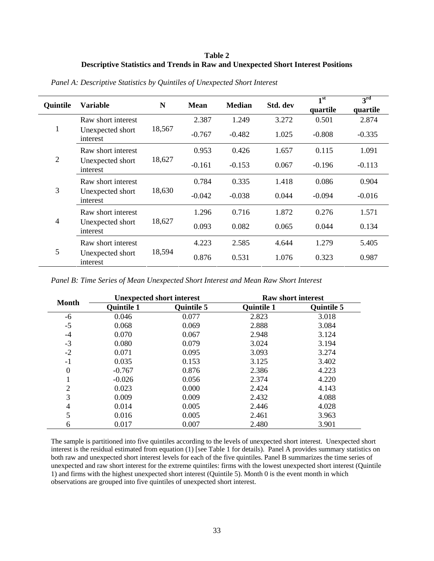# **Table 2 Descriptive Statistics and Trends in Raw and Unexpected Short Interest Positions**

| Quintile                                                             | <b>Variable</b>              | N        | <b>Mean</b> | <b>Median</b> | Std. dev | 1 <sup>st</sup><br>quartile | 3 <sup>rd</sup><br>quartile |
|----------------------------------------------------------------------|------------------------------|----------|-------------|---------------|----------|-----------------------------|-----------------------------|
|                                                                      | Raw short interest           |          | 2.387       | 1.249         | 3.272    | 0.501                       | 2.874                       |
| $\mathbf{1}$<br>Unexpected short<br>interest                         | 18,567                       | $-0.767$ | $-0.482$    | 1.025         | $-0.808$ | $-0.335$                    |                             |
|                                                                      | Raw short interest           |          | 0.953       | 0.426         | 1.657    | 0.115                       | 1.091                       |
| $\overline{2}$                                                       | Unexpected short<br>interest | 18,627   | $-0.161$    | $-0.153$      | 0.067    | $-0.196$                    | $-0.113$                    |
|                                                                      | Raw short interest           |          | 0.784       | 0.335         | 1.418    | 0.086                       | 0.904                       |
| 3                                                                    | Unexpected short<br>interest | 18,630   | $-0.042$    | $-0.038$      | 0.044    | $-0.094$                    | $-0.016$                    |
| Raw short interest<br>$\overline{4}$<br>Unexpected short<br>interest |                              | 1.296    | 0.716       | 1.872         | 0.276    | 1.571                       |                             |
|                                                                      |                              | 18,627   | 0.093       | 0.082         | 0.065    | 0.044                       | 0.134                       |
| 5                                                                    | Raw short interest           |          | 4.223       | 2.585         | 4.644    | 1.279                       | 5.405                       |
|                                                                      | Unexpected short<br>interest | 18,594   | 0.876       | 0.531         | 1.076    | 0.323                       | 0.987                       |

*Panel A: Descriptive Statistics by Quintiles of Unexpected Short Interest* 

*Panel B: Time Series of Mean Unexpected Short Interest and Mean Raw Short Interest* 

|                  |                   | <b>Unexpected short interest</b> |                   | <b>Raw short interest</b> |
|------------------|-------------------|----------------------------------|-------------------|---------------------------|
| <b>Month</b>     | <b>Quintile 1</b> | <b>Quintile 5</b>                | <b>Quintile 1</b> | <b>Quintile 5</b>         |
| -6               | 0.046             | 0.077                            | 2.823             | 3.018                     |
| $-5$             | 0.068             | 0.069                            | 2.888             | 3.084                     |
| $-4$             | 0.070             | 0.067                            | 2.948             | 3.124                     |
| $-3$             | 0.080             | 0.079                            | 3.024             | 3.194                     |
| $-2$             | 0.071             | 0.095                            | 3.093             | 3.274                     |
| $-1$             | 0.035             | 0.153                            | 3.125             | 3.402                     |
| $\boldsymbol{0}$ | $-0.767$          | 0.876                            | 2.386             | 4.223                     |
|                  | $-0.026$          | 0.056                            | 2.374             | 4.220                     |
| $\overline{2}$   | 0.023             | 0.000                            | 2.424             | 4.143                     |
| 3                | 0.009             | 0.009                            | 2.432             | 4.088                     |
| 4                | 0.014             | 0.005                            | 2.446             | 4.028                     |
| 5                | 0.016             | 0.005                            | 2.461             | 3.963                     |
| 6                | 0.017             | 0.007                            | 2.480             | 3.901                     |

The sample is partitioned into five quintiles according to the levels of unexpected short interest. Unexpected short interest is the residual estimated from equation (1) [see Table 1 for details). Panel A provides summary statistics on both raw and unexpected short interest levels for each of the five quintiles. Panel B summarizes the time series of unexpected and raw short interest for the extreme quintiles: firms with the lowest unexpected short interest (Quintile 1) and firms with the highest unexpected short interest (Quintile 5). Month 0 is the event month in which observations are grouped into five quintiles of unexpected short interest.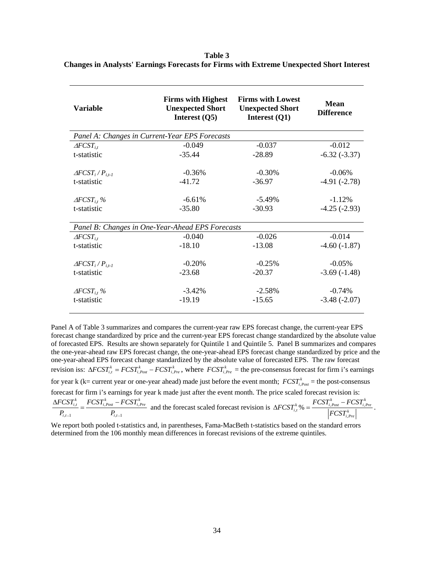**Table 3 Changes in Analysts' Earnings Forecasts for Firms with Extreme Unexpected Short Interest** 

| <b>Variable</b>              | <b>Firms with Highest</b><br><b>Unexpected Short</b><br>Interest $(Q5)$ | <b>Firms with Lowest</b><br><b>Unexpected Short</b><br>Interest (Q1) | Mean<br><b>Difference</b> |
|------------------------------|-------------------------------------------------------------------------|----------------------------------------------------------------------|---------------------------|
|                              | Panel A: Changes in Current-Year EPS Forecasts                          |                                                                      |                           |
| $\triangle FCST_{i.t}$       | $-0.049$                                                                | $-0.037$                                                             | $-0.012$                  |
| t-statistic                  | $-35.44$                                                                | $-28.89$                                                             | $-6.32(-3.37)$            |
| $\triangle FCST_i/P_{i.t-I}$ | $-0.36%$                                                                | $-0.30\%$                                                            | $-0.06\%$                 |
| t-statistic                  | $-41.72$                                                                | $-36.97$                                                             | $-4.91(-2.78)$            |
| $\triangle FCST_{i,t}$ %     | $-6.61%$                                                                | $-5.49\%$                                                            | $-1.12%$                  |
| t-statistic                  | $-35.80$                                                                | $-30.93$                                                             | $-4.25(-2.93)$            |
|                              | Panel B: Changes in One-Year-Ahead EPS Forecasts                        |                                                                      |                           |
| $\triangle FCST_{i.t}$       | $-0.040$                                                                | $-0.026$                                                             | $-0.014$                  |
| t-statistic                  | $-18.10$                                                                | $-13.08$                                                             | $-4.60(-1.87)$            |
| $\triangle FCST_i/P_{i.t-I}$ | $-0.20%$                                                                | $-0.25%$                                                             | $-0.05\%$                 |
| t-statistic                  | $-23.68$                                                                | $-20.37$                                                             | $-3.69(-1.48)$            |
| $\triangle FCST_{i,t}$ %     | $-3.42%$                                                                | $-2.58%$                                                             | $-0.74%$                  |
| t-statistic                  | $-19.19$                                                                | $-15.65$                                                             | $-3.48(-2.07)$            |

Panel A of Table 3 summarizes and compares the current-year raw EPS forecast change, the current-year EPS forecast change standardized by price and the current-year EPS forecast change standardized by the absolute value of forecasted EPS. Results are shown separately for Quintile 1 and Quintile 5. Panel B summarizes and compares the one-year-ahead raw EPS forecast change, the one-year-ahead EPS forecast change standardized by price and the one-year-ahead EPS forecast change standardized by the absolute value of forecasted EPS. The raw forecast *revision iss:*  $\Delta FCST_{i,t}^k = FCST_{i,Post}^k - FCST_{i,Pre}^k$ , where  $FCST_{i,Pre}^k$  = the pre-consensus forecast for firm i's earnings for year  $k$  ( $k$  = current year or one-year ahead) made just before the event month;  $FCST_{i, Post}^{k}$  = the post-consensus forecast for firm i's earnings for year k made just after the event month. The price scaled forecast revision is:  $I \cup I_{i,Post}$   $I \cup I_{i,est}$  $,t-1$   $\qquad \qquad i,t-1$  $F^k_{i,t} = FCST^k_{i, Post} - FCST^k_{i, Pre}$  $i,t-1$   $\qquad \qquad i,t$  $FCST_{i,t}^k$   $FCST_{i\ Post}^k$   $-FCST_{i\$  $P_{i,t-1}$  *P*<sub>*i*,*t*-1</sub>  $\frac{\Delta FCST_{i,t}^k}{P} = \frac{FCST_{i,Post}^k - FCST_{i,Pre}^k}{P}$  and the forecast scaled forecast revision is  $\Delta FCST_{i,t}^k\% = \frac{FCST_{i,post}^k - FCST_{i,post}^k}{PSCST_{i,t}^k}$ , %  $\phi_{i,t}^{k}$ %  $= \frac{FCST^k_{i,Post} - FCST^k_{i,Pre}}{\left| FCST^k_{i,Pre} \right|}$  $FCST^k_{i,t}\% = \frac{FCST^k_{i,Post} - FCST^k_{i,t}}{1}$ *FCST*  $\Delta FCST_{i,t}^k\% = \frac{FCST_{i,Post}^k - FCST_{i,Pre}^k}{\frac{1}{K} + \frac{1}{K} + \frac{1}{K} + \frac{1}{K} + \cdots}.$ 

We report both pooled t-statistics and, in parentheses, Fama-MacBeth t-statistics based on the standard errors determined from the 106 monthly mean differences in forecast revisions of the extreme quintiles.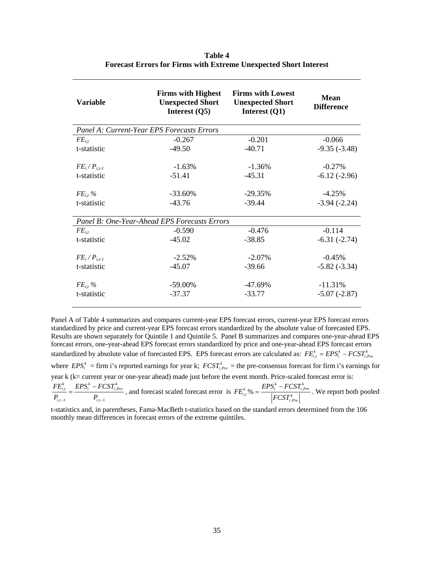| <b>Variable</b>                            | <b>Firms with Highest</b><br><b>Unexpected Short</b><br>Interest $(Q5)$ | <b>Firms with Lowest</b><br><b>Unexpected Short</b><br>Interest $(Q1)$ | <b>Mean</b><br><b>Difference</b> |
|--------------------------------------------|-------------------------------------------------------------------------|------------------------------------------------------------------------|----------------------------------|
| Panel A: Current-Year EPS Forecasts Errors |                                                                         |                                                                        |                                  |
| $FE_{i.t}$                                 | $-0.267$                                                                | $-0.201$                                                               | $-0.066$                         |
| t-statistic                                | $-49.50$                                                                | $-40.71$                                                               | $-9.35(-3.48)$                   |
| $FE_i/P_{i,t-1}$                           | $-1.63%$                                                                | $-1.36%$                                                               | $-0.27%$                         |
| t-statistic                                | $-51.41$                                                                | $-45.31$                                                               | $-6.12(-2.96)$                   |
| $FE_{i,t}$ %                               | $-33.60\%$                                                              | $-29.35%$                                                              | $-4.25%$                         |
| t-statistic                                | $-43.76$                                                                | $-39.44$                                                               | $-3.94(-2.24)$                   |
|                                            | Panel B: One-Year-Ahead EPS Forecasts Errors                            |                                                                        |                                  |
| $FE_{i.t}$                                 | $-0.590$                                                                | $-0.476$                                                               | $-0.114$                         |
| t-statistic                                | $-45.02$                                                                | $-38.85$                                                               | $-6.31(-2.74)$                   |
| $FE_i/P_{i,t-1}$                           | $-2.52%$                                                                | $-2.07\%$                                                              | $-0.45%$                         |
| t-statistic                                | $-45.07$                                                                | $-39.66$                                                               | $-5.82(-3.34)$                   |
| $FE_{i,t}$ %                               | $-59.00\%$                                                              | -47.69%                                                                | $-11.31%$                        |
| t-statistic                                | $-37.37$                                                                | $-33.77$                                                               | $-5.07(-2.87)$                   |
|                                            |                                                                         |                                                                        |                                  |

**Table 4 Forecast Errors for Firms with Extreme Unexpected Short Interest** 

Panel A of Table 4 summarizes and compares current-year EPS forecast errors, current-year EPS forecast errors standardized by price and current-year EPS forecast errors standardized by the absolute value of forecasted EPS. Results are shown separately for Quintile 1 and Quintile 5. Panel B summarizes and compares one-year-ahead EPS forecast errors, one-year-ahead EPS forecast errors standardized by price and one-year-ahead EPS forecast errors standardized by absolute value of forecasted EPS. EPS forecast errors are calculated as:  $FE_{i,t}^k = EPS_i^k - FCST_{i,Pre}^k$ where  $EPS_i^k = \text{firm i's reported earnings for year k; } FCST_{i, Pre}^k = \text{the pre-consensus forecast for firm i's earnings for } FCST_{i, Pre}^k = \text{the pre-consensus forecast for firm i's earnings for } FCST_{i, Pre}^k = \text{the pre-consensus forecast for firm i's earnings for } FCST_{i, Pre}^k = \text{the pre-consensus forecast for firm i's earnings for } FCST_{i, Pre}^k = \text{the pre-consensus forecast for firm i's earnings for } FCST_{i, Pre}^k = \text{the pre-consensus forecast for firm i's earnings for } FCST_{i, Pre}^k = \text{the pre-consensus forecast for firm i's earnings for } FCST_{i, Pre}^k = \text$ year k (k= current year or one-year ahead) made just before the event month. Price-scaled forecast error is:  $\mu$   $\mu$   $\mu$ <sub>i</sub>  $\mu$   $\mu$ <sub>i</sub>  $,t-1$   $\qquad \qquad i,t-1$  $\mathit{EPS}^k_i - FCST^k_{i,Pre}$  $i,t-1$   $\qquad \qquad i,t$  $FE_{i,t}^k$  *EPS<sub>i</sub>* – *FCST*  $P_{i,t-1}$   $P_{i,t-1}$  $=\frac{EPS_i^k - FCST_{i,Pre}^k}{P}$ , and forecast scaled forecast error is  $FE_{i,t}^k$ %  $=\frac{EPS_i^k - FCST_{i,pre}^k}{\sqrt{PCST_{i,pre}^k}}$ , %  $\omega_{i,t}^{k}$ %  $=$   $\frac{EPS_{i}^{k}-FCST_{i,Pre}^{k}}{\left|FCST_{i,Pre}^{k}\right|}$  $FE_{i}^{k}$ % =  $\frac{EPS_{i}^{k} - FCSI_{i}^{k}}{k}$ *FCST*  $=\frac{EPS_i^k - FCST_{i,Pre}^k}{\frac{1}{k}}$ . We report both pooled t-statistics and, in parentheses, Fama-MacBeth t-statistics based on the standard errors determined from the 106 monthly mean differences in forecast errors of the extreme quintiles.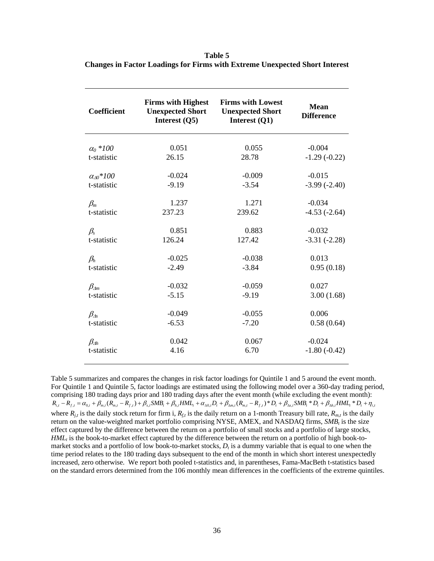**Table 5 Changes in Factor Loadings for Firms with Extreme Unexpected Short Interest** 

| Coefficient        | <b>Firms with Highest</b><br><b>Unexpected Short</b><br>Interest (Q5) | <b>Firms with Lowest</b><br><b>Unexpected Short</b><br>Interest (Q1) | <b>Mean</b><br><b>Difference</b> |
|--------------------|-----------------------------------------------------------------------|----------------------------------------------------------------------|----------------------------------|
| $\alpha_0$ *100    | 0.051                                                                 | 0.055                                                                | $-0.004$                         |
| t-statistic        | 26.15                                                                 | 28.78                                                                | $-1.29(-0.22)$                   |
| $\alpha_{A0}$ *100 | $-0.024$                                                              | $-0.009$                                                             | $-0.015$                         |
| t-statistic        | $-9.19$                                                               | $-3.54$                                                              | $-3.99(-2.40)$                   |
| $\beta_m$          | 1.237                                                                 | 1.271                                                                | $-0.034$                         |
| t-statistic        | 237.23                                                                | 239.62                                                               | $-4.53(-2.64)$                   |
| $\beta_{s}$        | 0.851                                                                 | 0.883                                                                | $-0.032$                         |
| t-statistic        | 126.24                                                                | 127.42                                                               | $-3.31(-2.28)$                   |
| $\beta_h$          | $-0.025$                                                              | $-0.038$                                                             | 0.013                            |
| t-statistic        | $-2.49$                                                               | $-3.84$                                                              | 0.95(0.18)                       |
| $\beta_{\Delta m}$ | $-0.032$                                                              | $-0.059$                                                             | 0.027                            |
| t-statistic        | $-5.15$                                                               | $-9.19$                                                              | 3.00(1.68)                       |
| $\beta_{\rm 4s}$   | $-0.049$                                                              | $-0.055$                                                             | 0.006                            |
| t-statistic        | $-6.53$                                                               | $-7.20$                                                              | 0.58(0.64)                       |
| $\beta_{\Delta h}$ | 0.042                                                                 | 0.067                                                                | $-0.024$                         |
| t-statistic        | 4.16                                                                  | 6.70                                                                 | $-1.80(-0.42)$                   |

Table 5 summarizes and compares the changes in risk factor loadings for Quintile 1 and 5 around the event month. For Quintile 1 and Quintile 5, factor loadings are estimated using the following model over a 360-day trading period, comprising 180 trading days prior and 180 trading days after the event month (while excluding the event month):  $R_{i,t} - R_{f,t} = \alpha_{0,i} + \beta_{m,i} (R_{m,t} - R_{f,t}) + \beta_{s,i} SMB_t + \beta_{h,i} HML_t + \alpha_{\Delta 0,i} D_t + \beta_{\Delta m,i} (R_{m,t} - R_{f,t})^* D_t + \beta_{\Delta s,i} SMB_t^* D_t + \beta_{\Delta h,i} HML_t^* D_t + \eta_{i,t}$ where  $R_{j,t}$  is the daily stock return for firm i,  $R_{f,t}$  is the daily return on a 1-month Treasury bill rate,  $R_{m,t}$  is the daily return on the value-weighted market portfolio comprising NYSE, AMEX, and NASDAQ firms,  $SMB<sub>t</sub>$  is the size effect captured by the difference between the return on a portfolio of small stocks and a portfolio of large stocks, *HML<sub>t</sub>* is the book-to-market effect captured by the difference between the return on a portfolio of high book-tomarket stocks and a portfolio of low book-to-market stocks,  $D_t$  is a dummy variable that is equal to one when the time period relates to the 180 trading days subsequent to the end of the month in which short interest unexpectedly increased, zero otherwise. We report both pooled t-statistics and, in parentheses, Fama-MacBeth t-statistics based on the standard errors determined from the 106 monthly mean differences in the coefficients of the extreme quintiles.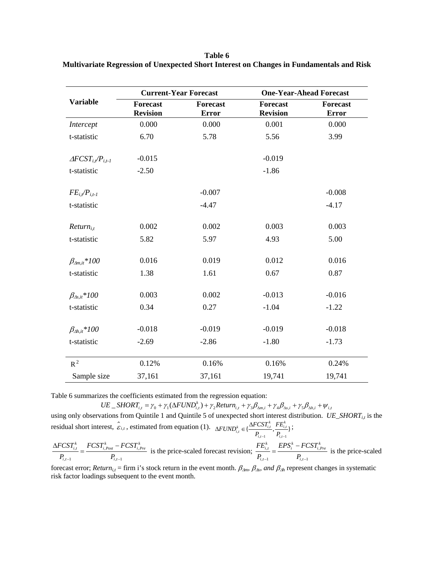**Table 6 Multivariate Regression of Unexpected Short Interest on Changes in Fundamentals and Risk** 

|                                   |                                    | <b>Current-Year Forecast</b>    |                                    | <b>One-Year-Ahead Forecast</b>  |
|-----------------------------------|------------------------------------|---------------------------------|------------------------------------|---------------------------------|
| <b>Variable</b>                   | <b>Forecast</b><br><b>Revision</b> | <b>Forecast</b><br><b>Error</b> | <b>Forecast</b><br><b>Revision</b> | <b>Forecast</b><br><b>Error</b> |
| Intercept                         | 0.000                              | 0.000                           | 0.001                              | 0.000                           |
| t-statistic                       | 6.70                               | 5.78                            | 5.56                               | 3.99                            |
| $\triangle FCST_{i,t}/P_{i,t-1}$  | $-0.015$                           |                                 | $-0.019$                           |                                 |
| t-statistic                       | $-2.50$                            |                                 | $-1.86$                            |                                 |
| $FE_{i}$ / $P_{i,t-1}$            |                                    | $-0.007$                        |                                    | $-0.008$                        |
| t-statistic                       |                                    | $-4.47$                         |                                    | $-4.17$                         |
| $Return_{i,t}$                    | 0.002                              | 0.002                           | 0.003                              | 0.003                           |
| t-statistic                       | 5.82                               | 5.97                            | 4.93                               | 5.00                            |
| $\beta_{\Delta m, it}$ *100       | 0.016                              | 0.019                           | 0.012                              | 0.016                           |
| t-statistic                       | 1.38                               | 1.61                            | 0.67                               | 0.87                            |
| $\beta_{\Delta s, it} * 100$      | 0.003                              | 0.002                           | $-0.013$                           | $-0.016$                        |
| t-statistic                       | 0.34                               | 0.27                            | $-1.04$                            | $-1.22$                         |
| $\beta_{\Delta h,i\tilde{t}}*100$ | $-0.018$                           | $-0.019$                        | $-0.019$                           | $-0.018$                        |
| t-statistic                       | $-2.69$                            | $-2.86$                         | $-1.80$                            | $-1.73$                         |
| $R^2$                             | 0.12%                              | 0.16%                           | 0.16%                              | 0.24%                           |
| Sample size                       | 37,161                             | 37,161                          | 19,741                             | 19,741                          |

Table 6 summarizes the coefficients estimated from the regression equation:

 $UE\_SHORT_{i,t} = \gamma_0 + \gamma_1(\Delta FUND_{i,t}^k) + \gamma_2 Return_{i,t} + \gamma_3 \beta_{\Delta m,i} + \gamma_4 \beta_{\Delta s,i} + \gamma_5 \beta_{\Delta h,i} + \psi_{i,t}$ using only observations from Quintile 1 and Quintile 5 of unexpected short interest distribution. *UE\_SHORT*<sub>it</sub> is the residual short interest,  $\hat{\epsilon}_{i,t}$ , estimated from equation (1).  $\Delta FUND_{i,t}^k \in \{\frac{\Delta FCSI_{i,t}^k}{P_{i,t-1}}, \frac{FE_{i,t}^k}{P_{i,t-1}}\}$  ${_{i,t}^{k}} \in {\frac{\Delta FCST_{i,t}^{k}}{P_{i,t-1}}, \frac{FE_{i,t}^{k}}{P_{i,t-1}}\}$  $FUND_{i,t}^k \in \{\frac{\Delta FCSI_{i,t}^k}{P_{i,t-1}}, \frac{FE_i^k}{P_{i,t-1}}\}$  $\triangle FUND_{i,t}^k \in \{\frac{\triangle FCSI_{i,t}^k}{1}, \frac{FE_{i,t}^k}{1}, \frac{FE_{i,t}^k}{1}, \frac{FE_{i,t}^k}{1}, \frac{CFN}{1}, \frac{CFN}{1}, \frac{CFN}{1}, \frac{CFN}{1}, \frac{CFN}{1}, \frac{CFN}{1}, \frac{CFN}{1}, \frac{CFN}{1}, \frac{CFN}{1}, \frac{CFN}{1}, \frac{CFN}{1}, \frac{CFN}{1}, \frac{CFN}{1}, \frac{CFN}{1}, \frac{CFN}{1}, \frac{CFN}{1}, \frac{CFN}{1}, \frac{CFN}{1}, \frac{CFN}{1}, \$ 

 $I \cup I_{i,Post}$   $I \cup I_{i,j}$  $,t-1$   $\qquad \qquad \bullet i,t-1$  $F^k_{i,t} = FCST^k_{i, Post} - FCST^k_{i, Pre}$ *i*,*t*-1  $FCST_{i,t}^k$   $FCST_{i\ Post}^k - FCSI$  $P_{i,t-1}$  *P*<sub>*i*,*t*-</sub>  $\frac{\Delta FCST_{i,t}^k}{\Delta FCST_{i,post}^k} = \frac{FCST_{i,pre}^k}{FCST_{i,post}^k}$  is the price-scaled forecast revision;  $\frac{FE_{i,t}^k}{\Delta FCST_{i,post}^k} = \frac{EPS_i^k - FCST_{i,post}^k}{\Delta FCST_{i,post}^k}$  $,t-1$   $\qquad \qquad i,t-1$  $\mathit{EPS}^k_i - FCST^k_{i,Pre}$  $i,t-1$   $\qquad \qquad i,t$  $FE^k_{i,t}$  *EPS*<sup>k</sup> – *FCST*  $P_{i,t-1}$   $P_{i,t-1}$  $=\frac{EPS_i^k - FCST_{i,Pre}^k}{\epsilon}$  is the price-scaled

forecast error; *Return*<sub>it</sub> = firm i's stock return in the event month.  $\beta_{\Delta m}$ ,  $\beta_{\Delta s}$ , and  $\beta_{\Delta h}$  represent changes in systematic risk factor loadings subsequent to the event month.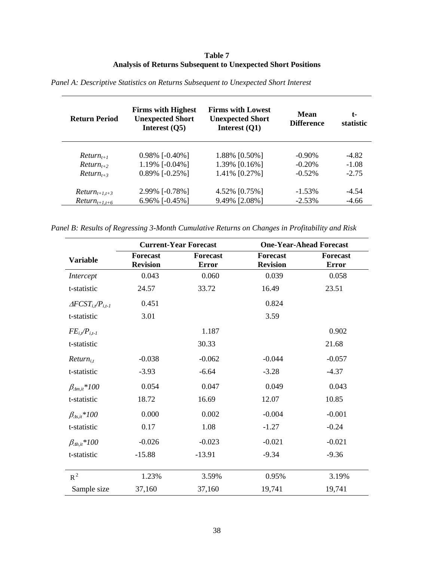# **Table 7 Analysis of Returns Subsequent to Unexpected Short Positions**

| <b>Return Period</b> | <b>Firms with Highest</b><br><b>Unexpected Short</b><br>Interest $(Q5)$ | <b>Firms with Lowest</b><br><b>Unexpected Short</b><br>Interest $(Q1)$ | Mean<br><b>Difference</b> | t-<br>statistic |
|----------------------|-------------------------------------------------------------------------|------------------------------------------------------------------------|---------------------------|-----------------|
| $Return_{t+1}$       | $0.98\%$ [-0.40%]                                                       | 1.88% [0.50%]                                                          | $-0.90\%$                 | $-4.82$         |
| $Return_{t+2}$       | 1.19% [-0.04%]                                                          | 1.39% [0.16%]                                                          | $-0.20%$                  | $-1.08$         |
| $Return_{t+3}$       | $0.89\%$ [-0.25%]                                                       | 1.41% [0.27%]                                                          | $-0.52\%$                 | $-2.75$         |
| $Return_{t+1,t+3}$   | 2.99% [-0.78%]                                                          | 4.52% [0.75%]                                                          | $-1.53\%$                 | $-4.54$         |
| $Return_{t+1,t+6}$   | 6.96% [-0.45%]                                                          | 9.49% [2.08%]                                                          | $-2.53\%$                 | $-4.66$         |

*Panel A: Descriptive Statistics on Returns Subsequent to Unexpected Short Interest* 

*Panel B: Results of Regressing 3-Month Cumulative Returns on Changes in Profitability and Risk*

|                                  | <b>Current-Year Forecast</b>       |                                 | <b>One-Year-Ahead Forecast</b>     |                                 |
|----------------------------------|------------------------------------|---------------------------------|------------------------------------|---------------------------------|
| <b>Variable</b>                  | <b>Forecast</b><br><b>Revision</b> | <b>Forecast</b><br><b>Error</b> | <b>Forecast</b><br><b>Revision</b> | <b>Forecast</b><br><b>Error</b> |
| Intercept                        | 0.043                              | 0.060                           | 0.039                              | 0.058                           |
| t-statistic                      | 24.57                              | 33.72                           | 16.49                              | 23.51                           |
| $\triangle FCST_{i,t}/P_{i,t-1}$ | 0.451                              |                                 | 0.824                              |                                 |
| t-statistic                      | 3.01                               |                                 | 3.59                               |                                 |
| $FE_{i,t}/P_{i,t-1}$             |                                    | 1.187                           |                                    | 0.902                           |
| t-statistic                      |                                    | 30.33                           |                                    | 21.68                           |
| $Return_{it}$                    | $-0.038$                           | $-0.062$                        | $-0.044$                           | $-0.057$                        |
| t-statistic                      | $-3.93$                            | $-6.64$                         | $-3.28$                            | $-4.37$                         |
| $\beta_{\Delta m, it}$ *100      | 0.054                              | 0.047                           | 0.049                              | 0.043                           |
| t-statistic                      | 18.72                              | 16.69                           | 12.07                              | 10.85                           |
| $\beta_{\Delta s, it} * 100$     | 0.000                              | 0.002                           | $-0.004$                           | $-0.001$                        |
| t-statistic                      | 0.17                               | 1.08                            | $-1.27$                            | $-0.24$                         |
| $\beta_{\Delta h,i}$ *100        | $-0.026$                           | $-0.023$                        | $-0.021$                           | $-0.021$                        |
| t-statistic                      | $-15.88$                           | $-13.91$                        | $-9.34$                            | $-9.36$                         |
| $R^2$                            | 1.23%                              | 3.59%                           | 0.95%                              | 3.19%                           |
| Sample size                      | 37,160                             | 37,160                          | 19,741                             | 19,741                          |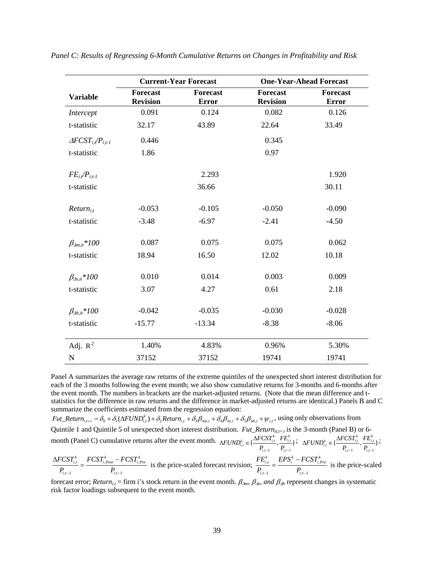|                                  | <b>Current-Year Forecast</b> |                                 |                             | <b>One-Year-Ahead Forecast</b>  |
|----------------------------------|------------------------------|---------------------------------|-----------------------------|---------------------------------|
| <b>Variable</b>                  | Forecast<br><b>Revision</b>  | <b>Forecast</b><br><b>Error</b> | Forecast<br><b>Revision</b> | <b>Forecast</b><br><b>Error</b> |
| Intercept                        | 0.091                        | 0.124                           | 0.082                       | 0.126                           |
| t-statistic                      | 32.17                        | 43.89                           | 22.64                       | 33.49                           |
| $\triangle FCST_{i,t}/P_{i,t-1}$ | 0.446                        |                                 | 0.345                       |                                 |
| t-statistic                      | 1.86                         |                                 | 0.97                        |                                 |
| $FE_{i,t}/P_{i,t-1}$             |                              | 2.293                           |                             | 1.920                           |
| t-statistic                      |                              | 36.66                           |                             | 30.11                           |
| $Return_{i,t}$                   | $-0.053$                     | $-0.105$                        | $-0.050$                    | $-0.090$                        |
| t-statistic                      | $-3.48$                      | $-6.97$                         | $-2.41$                     | $-4.50$                         |
| $\beta_{\text{A}_{m,i}}*100$     | 0.087                        | 0.075                           | 0.075                       | 0.062                           |
| t-statistic                      | 18.94                        | 16.50                           | 12.02                       | 10.18                           |
| $\beta_{\Delta s, it} * 100$     | 0.010                        | 0.014                           | 0.003                       | 0.009                           |
| t-statistic                      | 3.07                         | 4.27                            | 0.61                        | 2.18                            |
| $\beta_{\Delta h.i} * 100$       | $-0.042$                     | $-0.035$                        | $-0.030$                    | $-0.028$                        |
| t-statistic                      | $-15.77$                     | $-13.34$                        | $-8.38$                     | $-8.06$                         |
| Adj. $R^2$                       | 1.40%                        | 4.83%                           | 0.96%                       | 5.30%                           |
| ${\bf N}$                        | 37152                        | 37152                           | 19741                       | 19741                           |

*Panel C: Results of Regressing 6-Month Cumulative Returns on Changes in Profitability and Risk* 

Panel A summarizes the average raw returns of the extreme quintiles of the unexpected short interest distribution for each of the 3 months following the event month; we also show cumulative returns for 3-months and 6-months after the event month. The numbers in brackets are the market-adjusted returns. (Note that the mean difference and tstatistics for the difference in raw returns and the difference in market-adjusted returns are identical.) Panels B and C summarize the coefficients estimated from the regression equation:

 $Fut\_Return_{i,t+\tau} = \delta_0 + \delta_1(\Delta FUND_{i,t}^k) + \delta_2 Return_{i,t} + \delta_3 \beta_{\Delta m,i} + \delta_4 \beta_{\Delta s,i} + \delta_5 \beta_{\Delta h,i} + \psi_{i,t}$ , using only observations from Quintile 1 and Quintile 5 of unexpected short interest distribution. *Fut\_Return*<sub>it,t+τ</sub> is the 3-month (Panel B) or 6month (Panel C) cumulative returns after the event month.  $\Delta FUND_{i,t}^k \in \{\frac{\Delta FCSI_{i,t}^k}{P_{i,t-1}}, \frac{FE_{i,t}^k}{P_{i,t-1}}\}$  ${_{i,t}^{k}} \in {\frac{\Delta FCST_{i,t}^{k}}{P_{i,t-1}}, \frac{FE_{i,t}^{k}}{P_{i,t-1}}\}$  $FUND_{i,t}^k \in \{\frac{\Delta FCSI_{i,t}^k}{P_{i,t-1}}, \frac{FE_i^k}{P_{i,t-1}}\}$  $\Delta FUND_{i,t}^k \in \{\frac{\Delta FCSI_{i,t}^k}{P_{i,t-1}}, \frac{FE_{i,t}^k}{P_{i,t-1}}\}; \;\; \Delta FUND_{i,t}^k \in \{\frac{\Delta FCSI_{i,t}^k}{P_{i,t-1}}, \frac{FE_{i,t}^k}{P_{i,t-1}}\}$  ${_{i,t}^{k}} \in {\frac{\Delta FCST_{i,t}^{k}}{P_{i,t-1}}, \frac{FE_{i,t}^{k}}{P_{i,t-1}}\}$  $FUND_{i,t}^k \in \{\frac{\Delta FCSI_{i,t}^k}{P_{i,t-1}}, \frac{FE_i^k}{P_{i,t-1}}\}$  $\triangle FUND_{i,t}^k \in \{\frac{\triangle FCSI_{i,t}^k}{1}, \frac{FE_{i,t}^k}{1}, \frac{FE_{i,t}^k}{1}, \frac{FE_{i,t}^k}{1}, \frac{CFN}{1}, \frac{CFN}{1}, \frac{CFN}{1}, \frac{CFN}{1}, \frac{CFN}{1}, \frac{CFN}{1}, \frac{CFN}{1}, \frac{CFN}{1}, \frac{CFN}{1}, \frac{CFN}{1}, \frac{CFN}{1}, \frac{CFN}{1}, \frac{CFN}{1}, \frac{CFN}{1}, \frac{CFN}{1}, \frac{CFN}{1}, \frac{CFN}{1}, \frac{CFN}{1}, \frac{CFN}{1}, \$ 

$$
\frac{\Delta FCST_{i,t}^k}{P_{i,t-1}} = \frac{FCST_{i,Post}^k - FCST_{i,Pre}^k}{P_{i,t-1}}
$$
 is the price-scaled forecast revision; 
$$
\frac{FE_{i,t}^k}{P_{i,t-1}} = \frac{EPS_i^k - FCST_{i,Pre}^k}{P_{i,t-1}}
$$
 is the price-scaled

forecast error; *Return<sub>i,t</sub>* = firm i's stock return in the event month.  $\beta_{\Delta m}$ ,  $\beta_{\Delta s}$ , and  $\beta_{\Delta h}$  represent changes in systematic risk factor loadings subsequent to the event month.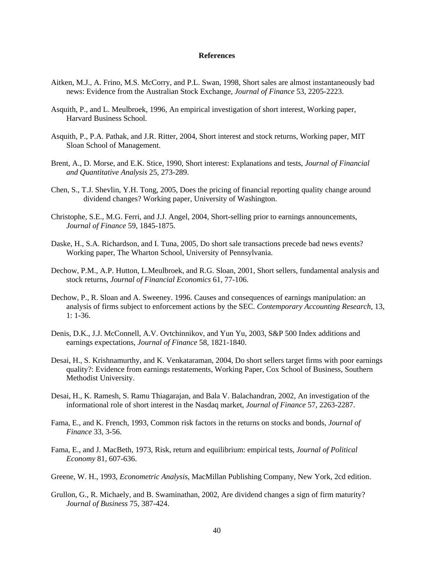#### **References**

- Aitken, M.J., A. Frino, M.S. McCorry, and P.L. Swan, 1998, Short sales are almost instantaneously bad news: Evidence from the Australian Stock Exchange, *Journal of Finance* 53, 2205-2223.
- Asquith, P., and L. Meulbroek, 1996, An empirical investigation of short interest, Working paper, Harvard Business School.
- Asquith, P., P.A. Pathak, and J.R. Ritter, 2004, Short interest and stock returns, Working paper, MIT Sloan School of Management.
- Brent, A., D. Morse, and E.K. Stice, 1990, Short interest: Explanations and tests, *Journal of Financial and Quantitative Analysis* 25, 273-289.
- Chen, S., T.J. Shevlin, Y.H. Tong, 2005, Does the pricing of financial reporting quality change around dividend changes? Working paper, University of Washington.
- Christophe, S.E., M.G. Ferri, and J.J. Angel, 2004, Short-selling prior to earnings announcements, *Journal of Finance* 59, 1845-1875.
- Daske, H., S.A. Richardson, and I. Tuna, 2005, Do short sale transactions precede bad news events? Working paper, The Wharton School, University of Pennsylvania.
- Dechow, P.M., A.P. Hutton, L.Meulbroek, and R.G. Sloan, 2001, Short sellers, fundamental analysis and stock returns, *Journal of Financial Economics* 61, 77-106.
- Dechow, P., R. Sloan and A. Sweeney. 1996. Causes and consequences of earnings manipulation: an analysis of firms subject to enforcement actions by the SEC. *Contemporary Accounting Research*, 13, 1: 1-36.
- Denis, D.K., J.J. McConnell, A.V. Ovtchinnikov, and Yun Yu, 2003, S&P 500 Index additions and earnings expectations, *Journal of Finance* 58, 1821-1840.
- Desai, H., S. Krishnamurthy, and K. Venkataraman, 2004, Do short sellers target firms with poor earnings quality?: Evidence from earnings restatements, Working Paper, Cox School of Business, Southern Methodist University.
- Desai, H., K. Ramesh, S. Ramu Thiagarajan, and Bala V. Balachandran, 2002, An investigation of the informational role of short interest in the Nasdaq market, *Journal of Finance* 57, 2263-2287.
- Fama, E., and K. French, 1993, Common risk factors in the returns on stocks and bonds, *Journal of Finance* 33, 3-56.
- Fama, E., and J. MacBeth, 1973, Risk, return and equilibrium: empirical tests, *Journal of Political Economy* 81, 607-636.
- Greene, W. H., 1993, *Econometric Analysis*, MacMillan Publishing Company, New York, 2cd edition.
- Grullon, G., R. Michaely, and B. Swaminathan, 2002, Are dividend changes a sign of firm maturity? *Journal of Business* 75, 387-424.